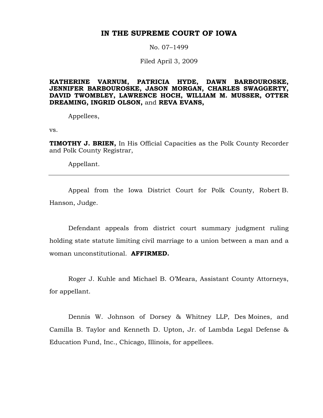# **IN THE SUPREME COURT OF IOWA**

No. 07–1499

Filed April 3, 2009

## **KATHERINE VARNUM, PATRICIA HYDE, DAWN BARBOUROSKE, JENNIFER BARBOUROSKE, JASON MORGAN, CHARLES SWAGGERTY, DAVID TWOMBLEY, LAWRENCE HOCH, WILLIAM M. MUSSER, OTTER DREAMING, INGRID OLSON,** and **REVA EVANS,**

Appellees,

vs.

**TIMOTHY J. BRIEN,** In His Official Capacities as the Polk County Recorder and Polk County Registrar,

Appellant.

 Appeal from the Iowa District Court for Polk County, Robert B. Hanson, Judge.

 Defendant appeals from district court summary judgment ruling holding state statute limiting civil marriage to a union between a man and a woman unconstitutional. **AFFIRMED.**

 Roger J. Kuhle and Michael B. O'Meara, Assistant County Attorneys, for appellant.

 Dennis W. Johnson of Dorsey & Whitney LLP, Des Moines, and Camilla B. Taylor and Kenneth D. Upton, Jr. of Lambda Legal Defense & Education Fund, Inc., Chicago, Illinois, for appellees.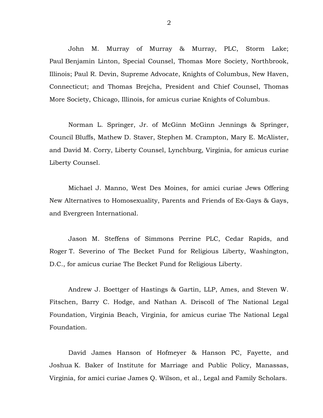John M. Murray of Murray & Murray, PLC, Storm Lake; Paul Benjamin Linton, Special Counsel, Thomas More Society, Northbrook, Illinois; Paul R. Devin, Supreme Advocate, Knights of Columbus, New Haven, Connecticut; and Thomas Brejcha, President and Chief Counsel, Thomas More Society, Chicago, Illinois, for amicus curiae Knights of Columbus.

 Norman L. Springer, Jr. of McGinn McGinn Jennings & Springer, Council Bluffs, Mathew D. Staver, Stephen M. Crampton, Mary E. McAlister, and David M. Corry, Liberty Counsel, Lynchburg, Virginia, for amicus curiae Liberty Counsel.

 Michael J. Manno, West Des Moines, for amici curiae Jews Offering New Alternatives to Homosexuality, Parents and Friends of Ex-Gays & Gays, and Evergreen International.

 Jason M. Steffens of Simmons Perrine PLC, Cedar Rapids, and Roger T. Severino of The Becket Fund for Religious Liberty, Washington, D.C., for amicus curiae The Becket Fund for Religious Liberty.

 Andrew J. Boettger of Hastings & Gartin, LLP, Ames, and Steven W. Fitschen, Barry C. Hodge, and Nathan A. Driscoll of The National Legal Foundation, Virginia Beach, Virginia, for amicus curiae The National Legal Foundation.

 David James Hanson of Hofmeyer & Hanson PC, Fayette, and Joshua K. Baker of Institute for Marriage and Public Policy, Manassas, Virginia, for amici curiae James Q. Wilson, et al., Legal and Family Scholars.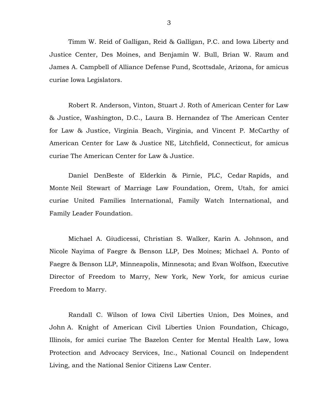Timm W. Reid of Galligan, Reid & Galligan, P.C. and Iowa Liberty and Justice Center, Des Moines, and Benjamin W. Bull, Brian W. Raum and James A. Campbell of Alliance Defense Fund, Scottsdale, Arizona, for amicus curiae Iowa Legislators.

 Robert R. Anderson, Vinton, Stuart J. Roth of American Center for Law & Justice, Washington, D.C., Laura B. Hernandez of The American Center for Law & Justice, Virginia Beach, Virginia, and Vincent P. McCarthy of American Center for Law & Justice NE, Litchfield, Connecticut, for amicus curiae The American Center for Law & Justice.

 Daniel DenBeste of Elderkin & Pirnie, PLC, Cedar Rapids, and Monte Neil Stewart of Marriage Law Foundation, Orem, Utah, for amici curiae United Families International, Family Watch International, and Family Leader Foundation.

Michael A. Giudicessi, Christian S. Walker, Karin A. Johnson, and Nicole Nayima of Faegre & Benson LLP, Des Moines; Michael A. Ponto of Faegre & Benson LLP, Minneapolis, Minnesota; and Evan Wolfson, Executive Director of Freedom to Marry, New York, New York, for amicus curiae Freedom to Marry.

 Randall C. Wilson of Iowa Civil Liberties Union, Des Moines, and John A. Knight of American Civil Liberties Union Foundation, Chicago, Illinois, for amici curiae The Bazelon Center for Mental Health Law, Iowa Protection and Advocacy Services, Inc., National Council on Independent Living, and the National Senior Citizens Law Center.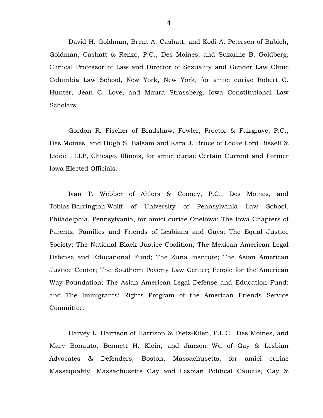David H. Goldman, Brent A. Cashatt, and Kodi A. Petersen of Babich, Goldman, Cashatt & Renzo, P.C., Des Moines, and Suzanne B. Goldberg, Clinical Professor of Law and Director of Sexuality and Gender Law Clinic Columbia Law School, New York, New York, for amici curiae Robert C. Hunter, Jean C. Love, and Maura Strassberg, Iowa Constitutional Law Scholars.

 Gordon R. Fischer of Bradshaw, Fowler, Proctor & Fairgrave, P.C., Des Moines, and Hugh S. Balsam and Kara J. Bruce of Locke Lord Bissell & Liddell, LLP, Chicago, Illinois, for amici curiae Certain Current and Former Iowa Elected Officials.

 Ivan T. Webber of Ahlers & Cooney, P.C., Des Moines, and Tobias Barrington Wolff of University of Pennsylvania Law School, Philadelphia, Pennsylvania, for amici curiae OneIowa; The Iowa Chapters of Parents, Families and Friends of Lesbians and Gays; The Equal Justice Society; The National Black Justice Coalition; The Mexican American Legal Defense and Educational Fund; The Zuna Institute; The Asian American Justice Center; The Southern Poverty Law Center; People for the American Way Foundation; The Asian American Legal Defense and Education Fund; and The Immigrants' Rights Program of the American Friends Service Committee.

 Harvey L. Harrison of Harrison & Dietz-Kilen, P.L.C., Des Moines, and Mary Bonauto, Bennett H. Klein, and Janson Wu of Gay & Lesbian Advocates & Defenders, Boston, Massachusetts, for amici curiae Massequality, Massachusetts Gay and Lesbian Political Caucus, Gay &

4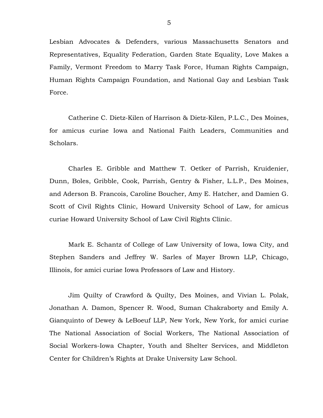Lesbian Advocates & Defenders, various Massachusetts Senators and Representatives, Equality Federation, Garden State Equality, Love Makes a Family, Vermont Freedom to Marry Task Force, Human Rights Campaign, Human Rights Campaign Foundation, and National Gay and Lesbian Task Force.

 Catherine C. Dietz-Kilen of Harrison & Dietz-Kilen, P.L.C., Des Moines, for amicus curiae Iowa and National Faith Leaders, Communities and Scholars.

 Charles E. Gribble and Matthew T. Oetker of Parrish, Kruidenier, Dunn, Boles, Gribble, Cook, Parrish, Gentry & Fisher, L.L.P., Des Moines, and Aderson B. Francois, Caroline Boucher, Amy E. Hatcher, and Damien G. Scott of Civil Rights Clinic, Howard University School of Law, for amicus curiae Howard University School of Law Civil Rights Clinic.

 Mark E. Schantz of College of Law University of Iowa, Iowa City, and Stephen Sanders and Jeffrey W. Sarles of Mayer Brown LLP, Chicago, Illinois, for amici curiae Iowa Professors of Law and History.

 Jim Quilty of Crawford & Quilty, Des Moines, and Vivian L. Polak, Jonathan A. Damon, Spencer R. Wood, Suman Chakraborty and Emily A. Gianquinto of Dewey & LeBoeuf LLP, New York, New York, for amici curiae The National Association of Social Workers, The National Association of Social Workers-Iowa Chapter, Youth and Shelter Services, and Middleton Center for Children's Rights at Drake University Law School.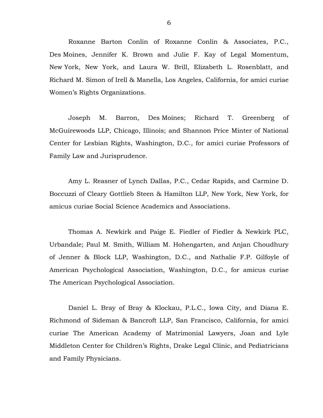Roxanne Barton Conlin of Roxanne Conlin & Associates, P.C., Des Moines, Jennifer K. Brown and Julie F. Kay of Legal Momentum, New York, New York, and Laura W. Brill, Elizabeth L. Rosenblatt, and Richard M. Simon of Irell & Manella, Los Angeles, California, for amici curiae Women's Rights Organizations.

 Joseph M. Barron, Des Moines; Richard T. Greenberg of McGuirewoods LLP, Chicago, Illinois; and Shannon Price Minter of National Center for Lesbian Rights, Washington, D.C., for amici curiae Professors of Family Law and Jurisprudence.

 Amy L. Reasner of Lynch Dallas, P.C., Cedar Rapids, and Carmine D. Boccuzzi of Cleary Gottlieb Steen & Hamilton LLP, New York, New York, for amicus curiae Social Science Academics and Associations.

 Thomas A. Newkirk and Paige E. Fiedler of Fiedler & Newkirk PLC, Urbandale; Paul M. Smith, William M. Hohengarten, and Anjan Choudhury of Jenner & Block LLP, Washington, D.C., and Nathalie F.P. Gilfoyle of American Psychological Association, Washington, D.C., for amicus curiae The American Psychological Association.

 Daniel L. Bray of Bray & Klockau, P.L.C., Iowa City, and Diana E. Richmond of Sideman & Bancroft LLP, San Francisco, California, for amici curiae The American Academy of Matrimonial Lawyers, Joan and Lyle Middleton Center for Children's Rights, Drake Legal Clinic, and Pediatricians and Family Physicians.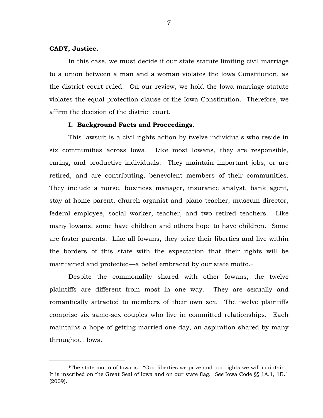#### **CADY, Justice.**

In this case, we must decide if our state statute limiting civil marriage to a union between a man and a woman violates the Iowa Constitution, as the district court ruled. On our review, we hold the Iowa marriage statute violates the equal protection clause of the Iowa Constitution. Therefore, we affirm the decision of the district court.

### **I. Background Facts and Proceedings.**

 This lawsuit is a civil rights action by twelve individuals who reside in six communities across Iowa. Like most Iowans, they are responsible, caring, and productive individuals. They maintain important jobs, or are retired, and are contributing, benevolent members of their communities. They include a nurse, business manager, insurance analyst, bank agent, stay-at-home parent, church organist and piano teacher, museum director, federal employee, social worker, teacher, and two retired teachers. Like many Iowans, some have children and others hope to have children. Some are foster parents. Like all Iowans, they prize their liberties and live within the borders of this state with the expectation that their rights will be maintained and protected—a belief embraced by our state motto.<sup>1</sup>

 Despite the commonality shared with other Iowans, the twelve plaintiffs are different from most in one way. They are sexually and romantically attracted to members of their own sex. The twelve plaintiffs comprise six same-sex couples who live in committed relationships. Each maintains a hope of getting married one day, an aspiration shared by many throughout Iowa.

<sup>&</sup>lt;sup>1</sup>The state motto of Iowa is: "Our liberties we prize and our rights we will maintain." It is inscribed on the Great Seal of Iowa and on our state flag. *See* Iowa Code §§ 1A.1, 1B.1 (2009).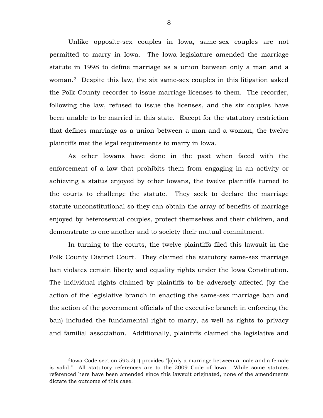Unlike opposite-sex couples in Iowa, same-sex couples are not permitted to marry in Iowa. The Iowa legislature amended the marriage statute in 1998 to define marriage as a union between only a man and a woman.2 Despite this law, the six same-sex couples in this litigation asked the Polk County recorder to issue marriage licenses to them. The recorder, following the law, refused to issue the licenses, and the six couples have been unable to be married in this state. Except for the statutory restriction that defines marriage as a union between a man and a woman, the twelve plaintiffs met the legal requirements to marry in Iowa.

 As other Iowans have done in the past when faced with the enforcement of a law that prohibits them from engaging in an activity or achieving a status enjoyed by other Iowans, the twelve plaintiffs turned to the courts to challenge the statute. They seek to declare the marriage statute unconstitutional so they can obtain the array of benefits of marriage enjoyed by heterosexual couples, protect themselves and their children, and demonstrate to one another and to society their mutual commitment.

 In turning to the courts, the twelve plaintiffs filed this lawsuit in the Polk County District Court. They claimed the statutory same-sex marriage ban violates certain liberty and equality rights under the Iowa Constitution. The individual rights claimed by plaintiffs to be adversely affected (by the action of the legislative branch in enacting the same-sex marriage ban and the action of the government officials of the executive branch in enforcing the ban) included the fundamental right to marry, as well as rights to privacy and familial association. Additionally, plaintiffs claimed the legislative and

8

<sup>&</sup>lt;sup>2</sup>Iowa Code section 595.2(1) provides "[o]nly a marriage between a male and a female is valid." All statutory references are to the 2009 Code of Iowa. While some statutes referenced here have been amended since this lawsuit originated, none of the amendments dictate the outcome of this case.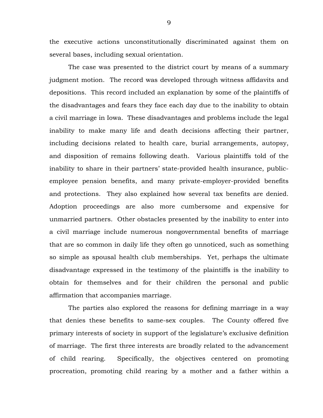the executive actions unconstitutionally discriminated against them on several bases, including sexual orientation.

 The case was presented to the district court by means of a summary judgment motion. The record was developed through witness affidavits and depositions. This record included an explanation by some of the plaintiffs of the disadvantages and fears they face each day due to the inability to obtain a civil marriage in Iowa. These disadvantages and problems include the legal inability to make many life and death decisions affecting their partner, including decisions related to health care, burial arrangements, autopsy, and disposition of remains following death. Various plaintiffs told of the inability to share in their partners' state-provided health insurance, publicemployee pension benefits, and many private-employer-provided benefits and protections. They also explained how several tax benefits are denied. Adoption proceedings are also more cumbersome and expensive for unmarried partners. Other obstacles presented by the inability to enter into a civil marriage include numerous nongovernmental benefits of marriage that are so common in daily life they often go unnoticed, such as something so simple as spousal health club memberships. Yet, perhaps the ultimate disadvantage expressed in the testimony of the plaintiffs is the inability to obtain for themselves and for their children the personal and public affirmation that accompanies marriage.

 The parties also explored the reasons for defining marriage in a way that denies these benefits to same-sex couples. The County offered five primary interests of society in support of the legislature's exclusive definition of marriage. The first three interests are broadly related to the advancement of child rearing. Specifically, the objectives centered on promoting procreation, promoting child rearing by a mother and a father within a

9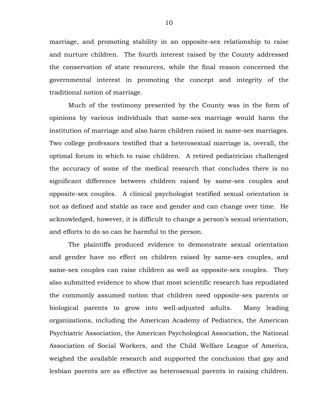marriage, and promoting stability in an opposite-sex relationship to raise and nurture children. The fourth interest raised by the County addressed the conservation of state resources, while the final reason concerned the governmental interest in promoting the concept and integrity of the traditional notion of marriage.

 Much of the testimony presented by the County was in the form of opinions by various individuals that same-sex marriage would harm the institution of marriage and also harm children raised in same-sex marriages. Two college professors testified that a heterosexual marriage is, overall, the optimal forum in which to raise children. A retired pediatrician challenged the accuracy of some of the medical research that concludes there is no significant difference between children raised by same-sex couples and opposite-sex couples. A clinical psychologist testified sexual orientation is not as defined and stable as race and gender and can change over time. He acknowledged, however, it is difficult to change a person's sexual orientation, and efforts to do so can be harmful to the person.

 The plaintiffs produced evidence to demonstrate sexual orientation and gender have no effect on children raised by same-sex couples, and same-sex couples can raise children as well as opposite-sex couples. They also submitted evidence to show that most scientific research has repudiated the commonly assumed notion that children need opposite-sex parents or biological parents to grow into well-adjusted adults. Many leading organizations, including the American Academy of Pediatrics, the American Psychiatric Association, the American Psychological Association, the National Association of Social Workers, and the Child Welfare League of America, weighed the available research and supported the conclusion that gay and lesbian parents are as effective as heterosexual parents in raising children.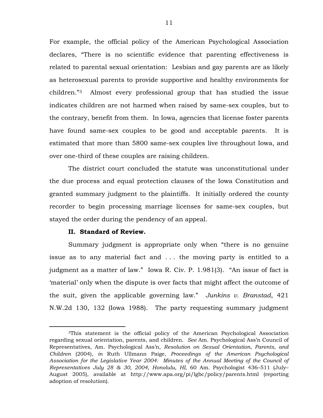For example, the official policy of the American Psychological Association declares, "There is no scientific evidence that parenting effectiveness is related to parental sexual orientation: Lesbian and gay parents are as likely as heterosexual parents to provide supportive and healthy environments for children."3 Almost every professional group that has studied the issue indicates children are not harmed when raised by same-sex couples, but to the contrary, benefit from them. In Iowa, agencies that license foster parents have found same-sex couples to be good and acceptable parents. It is estimated that more than 5800 same-sex couples live throughout Iowa, and over one-third of these couples are raising children.

 The district court concluded the statute was unconstitutional under the due process and equal protection clauses of the Iowa Constitution and granted summary judgment to the plaintiffs. It initially ordered the county recorder to begin processing marriage licenses for same-sex couples, but stayed the order during the pendency of an appeal.

#### **II. Standard of Review.**

 Summary judgment is appropriate only when "there is no genuine issue as to any material fact and . . . the moving party is entitled to a judgment as a matter of law." Iowa R. Civ. P. 1.981(3). "An issue of fact is 'material' only when the dispute is over facts that might affect the outcome of the suit, given the applicable governing law." *Junkins v. Branstad*, 421 N.W.2d 130, 132 (Iowa 1988). The party requesting summary judgment

 <sup>3</sup>This statement is the official policy of the American Psychological Association regarding sexual orientation, parents, and children. *See* Am. Psychological Ass'n Council of Representatives, Am. Psychological Ass'n, *Resolution on Sexual Orientation, Parents, and Children* (2004), *in* Ruth Ullmann Paige, *Proceedings of the American Psychological Association for the Legislative Year 2004: Minutes of the Annual Meeting of the Council of Representatives July 28 & 30, 2004, Honolulu, HI*, 60 Am. Psychologist 436–511 (July– August 2005), available at http://www.apa.org/pi/lgbc/policy/parents.html (reporting adoption of resolution).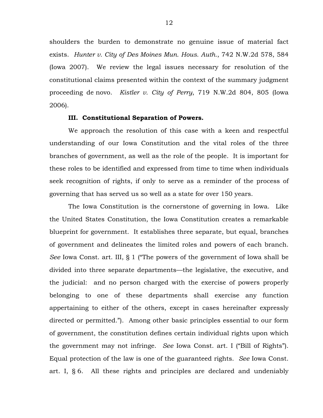shoulders the burden to demonstrate no genuine issue of material fact exists. *Hunter v. City of Des Moines Mun. Hous. Auth.*, 742 N.W.2d 578, 584 (Iowa 2007). We review the legal issues necessary for resolution of the constitutional claims presented within the context of the summary judgment proceeding de novo. *Kistler v. City of Perry*, 719 N.W.2d 804, 805 (Iowa 2006).

### **III. Constitutional Separation of Powers.**

 We approach the resolution of this case with a keen and respectful understanding of our Iowa Constitution and the vital roles of the three branches of government, as well as the role of the people. It is important for these roles to be identified and expressed from time to time when individuals seek recognition of rights, if only to serve as a reminder of the process of governing that has served us so well as a state for over 150 years.

 The Iowa Constitution is the cornerstone of governing in Iowa. Like the United States Constitution, the Iowa Constitution creates a remarkable blueprint for government. It establishes three separate, but equal, branches of government and delineates the limited roles and powers of each branch. *See* Iowa Const. art. III, § 1 ("The powers of the government of Iowa shall be divided into three separate departments—the legislative, the executive, and the judicial: and no person charged with the exercise of powers properly belonging to one of these departments shall exercise any function appertaining to either of the others, except in cases hereinafter expressly directed or permitted."). Among other basic principles essential to our form of government, the constitution defines certain individual rights upon which the government may not infringe. *See* Iowa Const. art. I ("Bill of Rights"). Equal protection of the law is one of the guaranteed rights. *See* Iowa Const. art. I, § 6. All these rights and principles are declared and undeniably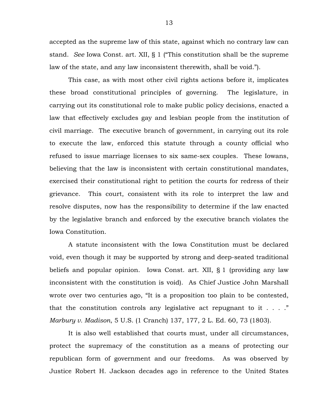accepted as the supreme law of this state, against which no contrary law can stand. *See* Iowa Const. art. XII, § 1 ("This constitution shall be the supreme law of the state, and any law inconsistent therewith, shall be void.").

 This case, as with most other civil rights actions before it, implicates these broad constitutional principles of governing. The legislature, in carrying out its constitutional role to make public policy decisions, enacted a law that effectively excludes gay and lesbian people from the institution of civil marriage. The executive branch of government, in carrying out its role to execute the law, enforced this statute through a county official who refused to issue marriage licenses to six same-sex couples. These Iowans, believing that the law is inconsistent with certain constitutional mandates, exercised their constitutional right to petition the courts for redress of their grievance. This court, consistent with its role to interpret the law and resolve disputes, now has the responsibility to determine if the law enacted by the legislative branch and enforced by the executive branch violates the Iowa Constitution.

A statute inconsistent with the Iowa Constitution must be declared void, even though it may be supported by strong and deep-seated traditional beliefs and popular opinion. Iowa Const. art. XII, § 1 (providing any law inconsistent with the constitution is void). As Chief Justice John Marshall wrote over two centuries ago, "It is a proposition too plain to be contested, that the constitution controls any legislative act repugnant to it  $\dots$ . *Marbury v. Madison*, 5 U.S. (1 Cranch) 137, 177, 2 L. Ed. 60, 73 (1803).

It is also well established that courts must, under all circumstances, protect the supremacy of the constitution as a means of protecting our republican form of government and our freedoms. As was observed by Justice Robert H. Jackson decades ago in reference to the United States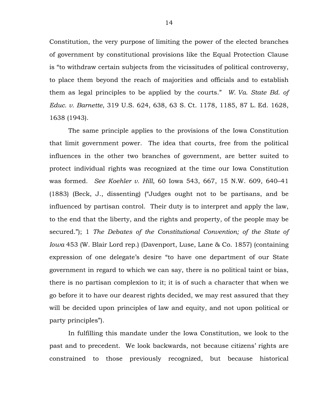Constitution, the very purpose of limiting the power of the elected branches of government by constitutional provisions like the Equal Protection Clause is "to withdraw certain subjects from the vicissitudes of political controversy, to place them beyond the reach of majorities and officials and to establish them as legal principles to be applied by the courts." *W. Va. State Bd. of Educ. v. Barnette*, 319 U.S. 624, 638, 63 S. Ct. 1178, 1185, 87 L. Ed. 1628, 1638 (1943).

The same principle applies to the provisions of the Iowa Constitution that limit government power. The idea that courts, free from the political influences in the other two branches of government, are better suited to protect individual rights was recognized at the time our Iowa Constitution was formed. *See Koehler v. Hill*, 60 Iowa 543, 667, 15 N.W. 609, 640–41 (1883) (Beck, J., dissenting) ("Judges ought not to be partisans, and be influenced by partisan control. Their duty is to interpret and apply the law, to the end that the liberty, and the rights and property, of the people may be secured."); 1 *The Debates of the Constitutional Convention; of the State of Iowa* 453 (W. Blair Lord rep.) (Davenport, Luse, Lane & Co. 1857) (containing expression of one delegate's desire "to have one department of our State government in regard to which we can say, there is no political taint or bias, there is no partisan complexion to it; it is of such a character that when we go before it to have our dearest rights decided, we may rest assured that they will be decided upon principles of law and equity, and not upon political or party principles").

In fulfilling this mandate under the Iowa Constitution, we look to the past and to precedent. We look backwards, not because citizens' rights are constrained to those previously recognized, but because historical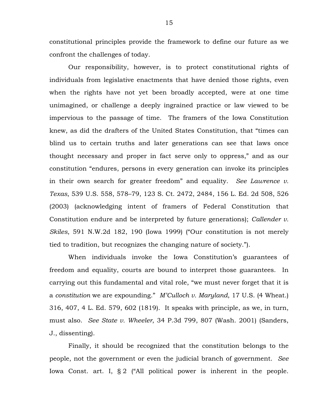constitutional principles provide the framework to define our future as we confront the challenges of today.

Our responsibility, however, is to protect constitutional rights of individuals from legislative enactments that have denied those rights, even when the rights have not yet been broadly accepted, were at one time unimagined, or challenge a deeply ingrained practice or law viewed to be impervious to the passage of time. The framers of the Iowa Constitution knew, as did the drafters of the United States Constitution, that "times can blind us to certain truths and later generations can see that laws once thought necessary and proper in fact serve only to oppress," and as our constitution "endures, persons in every generation can invoke its principles in their own search for greater freedom" and equality. *See Lawrence v. Texas*, 539 U.S. 558, 578–79, 123 S. Ct. 2472, 2484, 156 L. Ed. 2d 508, 526 (2003) (acknowledging intent of framers of Federal Constitution that Constitution endure and be interpreted by future generations); *Callender v. Skiles*, 591 N.W.2d 182, 190 (Iowa 1999) ("Our constitution is not merely tied to tradition, but recognizes the changing nature of society.").

When individuals invoke the Iowa Constitution's guarantees of freedom and equality, courts are bound to interpret those guarantees. In carrying out this fundamental and vital role, "we must never forget that it is a *constitution* we are expounding." *M'Culloch v. Maryland*, 17 U.S. (4 Wheat.) 316, 407, 4 L. Ed. 579, 602 (1819). It speaks with principle, as we, in turn, must also. *See State v. Wheeler*, 34 P.3d 799, 807 (Wash. 2001) (Sanders, J., dissenting).

Finally, it should be recognized that the constitution belongs to the people, not the government or even the judicial branch of government. *See* Iowa Const. art. I, § 2 ("All political power is inherent in the people.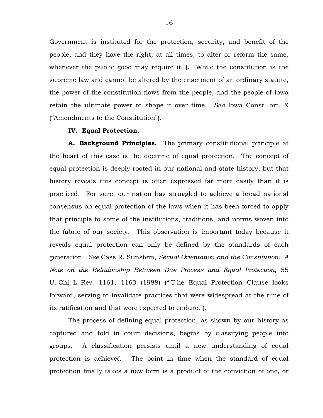Government is instituted for the protection, security, and benefit of the people, and they have the right, at all times, to alter or reform the same, whenever the public good may require it."). While the constitution is the supreme law and cannot be altered by the enactment of an ordinary statute, the power of the constitution flows from the people, and the people of Iowa retain the ultimate power to shape it over time. *See* Iowa Const. art. X ("Amendments to the Constitution").

#### **IV. Equal Protection.**

 **A. Background Principles.** The primary constitutional principle at the heart of this case is the doctrine of equal protection. The concept of equal protection is deeply rooted in our national and state history, but that history reveals this concept is often expressed far more easily than it is practiced. For sure, our nation has struggled to achieve a broad national consensus on equal protection of the laws when it has been forced to apply that principle to some of the institutions, traditions, and norms woven into the fabric of our society. This observation is important today because it reveals equal protection can only be defined by the standards of each generation. *See* Cass R. Sunstein, *Sexual Orientation and the Constitution: A Note on the Relationship Between Due Process and Equal Protection*, 55 U. Chi. L. Rev. 1161, 1163 (1988) ("[T]he Equal Protection Clause looks forward, serving to invalidate practices that were widespread at the time of its ratification and that were expected to endure.").

The process of defining equal protection, as shown by our history as captured and told in court decisions, begins by classifying people into groups. A classification persists until a new understanding of equal protection is achieved. The point in time when the standard of equal protection finally takes a new form is a product of the conviction of one, or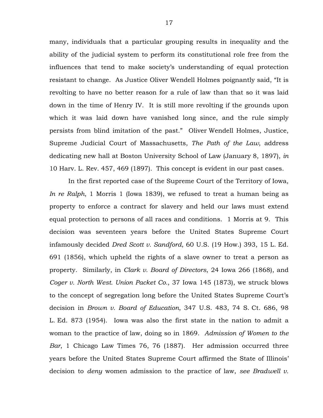many, individuals that a particular grouping results in inequality and the ability of the judicial system to perform its constitutional role free from the influences that tend to make society's understanding of equal protection resistant to change. As Justice Oliver Wendell Holmes poignantly said, "It is revolting to have no better reason for a rule of law than that so it was laid down in the time of Henry IV. It is still more revolting if the grounds upon which it was laid down have vanished long since, and the rule simply persists from blind imitation of the past." Oliver Wendell Holmes, Justice, Supreme Judicial Court of Massachusetts, *The Path of the Law*, address dedicating new hall at Boston University School of Law (January 8, 1897), *in* 10 Harv. L. Rev. 457, 469 (1897). This concept is evident in our past cases.

In the first reported case of the Supreme Court of the Territory of Iowa, *In re Ralph*, 1 Morris 1 (Iowa 1839), we refused to treat a human being as property to enforce a contract for slavery and held our laws must extend equal protection to persons of all races and conditions. 1 Morris at 9. This decision was seventeen years before the United States Supreme Court infamously decided *Dred Scott v. Sandford*, 60 U.S. (19 How.) 393, 15 L. Ed. 691 (1856), which upheld the rights of a slave owner to treat a person as property. Similarly, in *Clark v. Board of Directors*, 24 Iowa 266 (1868), and *Coger v. North West. Union Packet Co.*, 37 Iowa 145 (1873), we struck blows to the concept of segregation long before the United States Supreme Court's decision in *Brown v. Board of Education*, 347 U.S. 483, 74 S. Ct. 686, 98 L. Ed. 873 (1954). Iowa was also the first state in the nation to admit a woman to the practice of law, doing so in 1869. *Admission of Women to the Bar*, 1 Chicago Law Times 76, 76 (1887). Her admission occurred three years before the United States Supreme Court affirmed the State of Illinois' decision to *deny* women admission to the practice of law, *see Bradwell v.* 

17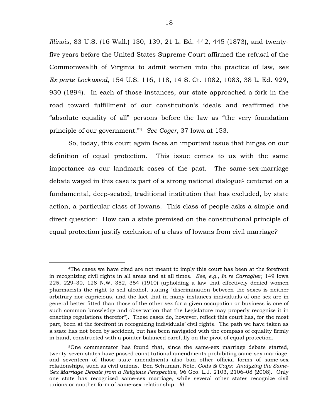*Illinois*, 83 U.S. (16 Wall.) 130, 139, 21 L. Ed. 442, 445 (1873), and twentyfive years before the United States Supreme Court affirmed the refusal of the Commonwealth of Virginia to admit women into the practice of law, *see Ex parte Lockwood*, 154 U.S. 116, 118, 14 S. Ct. 1082, 1083, 38 L. Ed. 929, 930 (1894). In each of those instances, our state approached a fork in the road toward fulfillment of our constitution's ideals and reaffirmed the "absolute equality of all" persons before the law as "the very foundation principle of our government."4 *See Coger*, 37 Iowa at 153.

So, today, this court again faces an important issue that hinges on our definition of equal protection. This issue comes to us with the same importance as our landmark cases of the past. The same-sex-marriage debate waged in this case is part of a strong national dialogue<sup>5</sup> centered on a fundamental, deep-seated, traditional institution that has excluded, by state action, a particular class of Iowans. This class of people asks a simple and direct question: How can a state premised on the constitutional principle of equal protection justify exclusion of a class of Iowans from civil marriage?

 <sup>4</sup>The cases we have cited are not meant to imply this court has been at the forefront in recognizing civil rights in all areas and at all times. *See*, *e.g.*, *In re Carragher*, 149 Iowa 225, 229–30, 128 N.W. 352, 354 (1910) (upholding a law that effectively denied women pharmacists the right to sell alcohol, stating "discrimination between the sexes is neither arbitrary nor capricious, and the fact that in many instances individuals of one sex are in general better fitted than those of the other sex for a given occupation or business is one of such common knowledge and observation that the Legislature may properly recognize it in enacting regulations therefor"). These cases do, however, reflect this court has, for the most part, been at the forefront in recognizing individuals' civil rights. The path we have taken as a state has not been by accident, but has been navigated with the compass of equality firmly in hand, constructed with a pointer balanced carefully on the pivot of equal protection.

<sup>5</sup>One commentator has found that, since the same-sex marriage debate started, twenty-seven states have passed constitutional amendments prohibiting same-sex marriage, and seventeen of those state amendments also ban other official forms of same-sex relationships, such as civil unions. Ben Schuman, Note, *Gods & Gays: Analyzing the Same-Sex Marriage Debate from a Religious Perspective*, 96 Geo. L.J. 2103, 2106–08 (2008). Only one state has recognized same-sex marriage, while several other states recognize civil unions or another form of same-sex relationship. *Id.*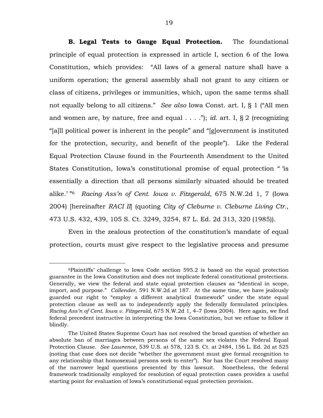**B. Legal Tests to Gauge Equal Protection.** The foundational principle of equal protection is expressed in article I, section 6 of the Iowa Constitution, which provides: "All laws of a general nature shall have a uniform operation; the general assembly shall not grant to any citizen or class of citizens, privileges or immunities, which, upon the same terms shall not equally belong to all citizens." *See also* Iowa Const. art. I, § 1 ("All men and women are, by nature, free and equal . . . ."); *id.* art. I, § 2 (recognizing "[a]ll political power is inherent in the people" and "[g]overnment is instituted for the protection, security, and benefit of the people"). Like the Federal Equal Protection Clause found in the Fourteenth Amendment to the United States Constitution, Iowa's constitutional promise of equal protection " 'is essentially a direction that all persons similarly situated should be treated alike.' "6 *Racing Ass'n of Cent. Iowa v. Fitzgerald*, 675 N.W.2d 1, 7 (Iowa 2004) [hereinafter *RACI II*] (quoting *City of Cleburne v. Cleburne Living Ctr.*, 473 U.S. 432, 439, 105 S. Ct. 3249, 3254, 87 L. Ed. 2d 313, 320 (1985)).

Even in the zealous protection of the constitution's mandate of equal protection, courts must give respect to the legislative process and presume

 <sup>6</sup>Plaintiffs' challenge to Iowa Code section 595.2 is based on the equal protection guarantee in the Iowa Constitution and does not implicate federal constitutional protections. Generally, we view the federal and state equal protection clauses as "identical in scope, import, and purpose." *Callender*, 591 N.W.2d at 187. At the same time, we have jealously guarded our right to "employ a different analytical framework" under the state equal protection clause as well as to independently apply the federally formulated principles. *Racing Ass'n of Cent. Iowa v. Fitzgerald*, 675 N.W.2d 1, 4–7 (Iowa 2004). Here again, we find federal precedent instructive in interpreting the Iowa Constitution, but we refuse to follow it blindly.

The United States Supreme Court has not resolved the broad question of whether an absolute ban of marriages between persons of the same sex violates the Federal Equal Protection Clause. *See Lawrence*, 539 U.S. at 578, 123 S. Ct. at 2484, 156 L. Ed. 2d at 525 (noting that case does not decide "whether the government must give formal recognition to any relationship that homosexual persons seek to enter"). Nor has the Court resolved many of the narrower legal questions presented by this lawsuit. Nonetheless, the federal framework traditionally employed for resolution of equal protection cases provides a useful starting point for evaluation of Iowa's constitutional equal protection provision.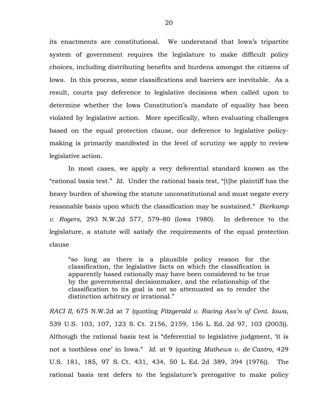its enactments are constitutional. We understand that Iowa's tripartite system of government requires the legislature to make difficult policy choices, including distributing benefits and burdens amongst the citizens of Iowa. In this process, some classifications and barriers are inevitable. As a result, courts pay deference to legislative decisions when called upon to determine whether the Iowa Constitution's mandate of equality has been violated by legislative action. More specifically, when evaluating challenges based on the equal protection clause, our deference to legislative policymaking is primarily manifested in the level of scrutiny we apply to review legislative action.

 In most cases, we apply a very deferential standard known as the "rational basis test." *Id.* Under the rational basis test, "[t]he plaintiff has the heavy burden of showing the statute unconstitutional and must negate every reasonable basis upon which the classification may be sustained." *Bierkamp v. Rogers*, 293 N.W.2d 577, 579–80 (Iowa 1980). In deference to the legislature, a statute will satisfy the requirements of the equal protection clause

"so long as there is a plausible policy reason for the classification, the legislative facts on which the classification is apparently based rationally may have been considered to be true by the governmental decisionmaker, and the relationship of the classification to its goal is not so attenuated as to render the distinction arbitrary or irrational."

*RACI II*, 675 N.W.2d at 7 (quoting *Fitzgerald v. Racing Ass'n of Cent. Iowa*, 539 U.S. 103, 107, 123 S. Ct. 2156, 2159, 156 L. Ed. 2d 97, 103 (2003)). Although the rational basis test is "deferential to legislative judgment, 'it is not a toothless one' in Iowa." *Id.* at 9 (quoting *Mathews v. de Castro*, 429 U.S. 181, 185, 97 S. Ct. 431, 434, 50 L. Ed. 2d 389, 394 (1976)). The rational basis test defers to the legislature's prerogative to make policy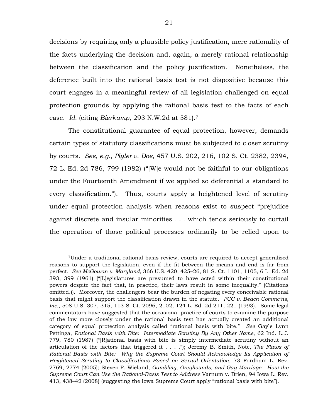decisions by requiring only a plausible policy justification, mere rationality of the facts underlying the decision and, again, a merely rational relationship between the classification and the policy justification. Nonetheless, the deference built into the rational basis test is not dispositive because this court engages in a meaningful review of all legislation challenged on equal protection grounds by applying the rational basis test to the facts of each case. *Id.* (citing *Bierkamp*, 293 N.W.2d at 581).7

The constitutional guarantee of equal protection, however, demands certain types of statutory classifications must be subjected to closer scrutiny by courts. *See*, *e.g.*, *Plyler v. Doe*, 457 U.S. 202, 216, 102 S. Ct. 2382, 2394, 72 L. Ed. 2d 786, 799 (1982) ("[W]e would not be faithful to our obligations under the Fourteenth Amendment if we applied so deferential a standard to every classification."). Thus, courts apply a heightened level of scrutiny under equal protection analysis when reasons exist to suspect "prejudice against discrete and insular minorities . . . which tends seriously to curtail the operation of those political processes ordinarily to be relied upon to

 <sup>7</sup>Under a traditional rational basis review, courts are required to accept generalized reasons to support the legislation, even if the fit between the means and end is far from perfect. *See McGowan v. Maryland*, 366 U.S. 420, 425–26, 81 S. Ct. 1101, 1105, 6 L. Ed. 2d 393, 399 (1961) ("[L]egislatures are presumed to have acted within their constitutional powers despite the fact that, in practice, their laws result in some inequality." (Citations omitted.)). Moreover, the challengers bear the burden of negating every conceivable rational basis that might support the classification drawn in the statute. *FCC v. Beach Commc'ns, Inc.*, 508 U.S. 307, 315, 113 S. Ct. 2096, 2102, 124 L. Ed. 2d 211, 221 (1993). Some legal commentators have suggested that the occasional practice of courts to examine the purpose of the law more closely under the rational basis test has actually created an additional category of equal protection analysis called "rational basis with bite." *See* Gayle Lynn Pettinga, *Rational Basis with Bite: Intermediate Scrutiny By Any Other Name*, 62 Ind. L.J. 779, 780 (1987) ("[R]ational basis with bite is simply intermediate scrutiny without an articulation of the factors that triggered it . . . ."); Jeremy B. Smith, Note, *The Flaws of Rational Basis with Bite: Why the Supreme Court Should Acknowledge Its Application of Heightened Scrutiny to Classifications Based on Sexual Orientation*, 73 Fordham L. Rev. 2769, 2774 (2005); Steven P. Wieland, *Gambling, Greyhounds, and Gay Marriage: How the Supreme Court Can Use the Rational-Basis Test to Address* Varnum v. Brien, 94 Iowa L. Rev. 413, 438–42 (2008) (suggesting the Iowa Supreme Court apply "rational basis with bite").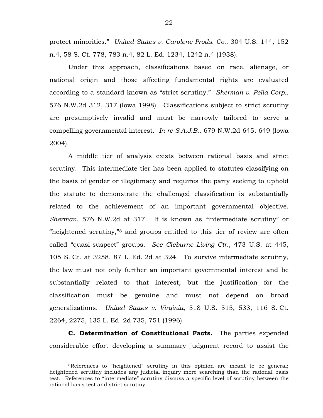protect minorities." *United States v. Carolene Prods. Co.*, 304 U.S. 144, 152 n.4, 58 S. Ct. 778, 783 n.4, 82 L. Ed. 1234, 1242 n.4 (1938).

Under this approach, classifications based on race, alienage, or national origin and those affecting fundamental rights are evaluated according to a standard known as "strict scrutiny." *Sherman v. Pella Corp.*, 576 N.W.2d 312, 317 (Iowa 1998). Classifications subject to strict scrutiny are presumptively invalid and must be narrowly tailored to serve a compelling governmental interest. *In re S.A.J.B.*, 679 N.W.2d 645, 649 (Iowa 2004).

A middle tier of analysis exists between rational basis and strict scrutiny. This intermediate tier has been applied to statutes classifying on the basis of gender or illegitimacy and requires the party seeking to uphold the statute to demonstrate the challenged classification is substantially related to the achievement of an important governmental objective. *Sherman*, 576 N.W.2d at 317. It is known as "intermediate scrutiny" or "heightened scrutiny,"8 and groups entitled to this tier of review are often called "quasi-suspect" groups. *See Cleburne Living Ctr*., 473 U.S. at 445, 105 S. Ct. at 3258, 87 L. Ed. 2d at 324. To survive intermediate scrutiny, the law must not only further an important governmental interest and be substantially related to that interest, but the justification for the classification must be genuine and must not depend on broad generalizations. *United States v. Virginia*, 518 U.S. 515, 533, 116 S. Ct. 2264, 2275, 135 L. Ed. 2d 735, 751 (1996).

**C. Determination of Constitutional Facts.** The parties expended considerable effort developing a summary judgment record to assist the

 <sup>8</sup>References to "heightened" scrutiny in this opinion are meant to be general; heightened scrutiny includes any judicial inquiry more searching than the rational basis test. References to "intermediate" scrutiny discuss a specific level of scrutiny between the rational basis test and strict scrutiny.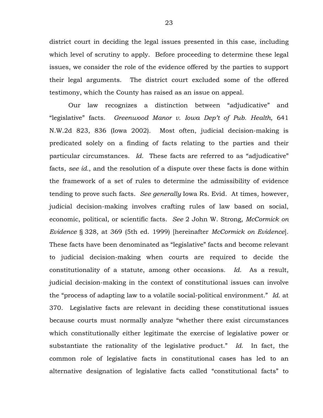district court in deciding the legal issues presented in this case, including which level of scrutiny to apply. Before proceeding to determine these legal issues, we consider the role of the evidence offered by the parties to support their legal arguments. The district court excluded some of the offered testimony, which the County has raised as an issue on appeal.

 Our law recognizes a distinction between "adjudicative" and "legislative" facts. *Greenwood Manor v. Iowa Dep't of Pub. Health*, 641 N.W.2d 823, 836 (Iowa 2002). Most often, judicial decision-making is predicated solely on a finding of facts relating to the parties and their particular circumstances. *Id.* These facts are referred to as "adjudicative" facts, *see id.*, and the resolution of a dispute over these facts is done within the framework of a set of rules to determine the admissibility of evidence tending to prove such facts. *See generally* Iowa Rs. Evid. At times, however, judicial decision-making involves crafting rules of law based on social, economic, political, or scientific facts. *See* 2 John W. Strong, *McCormick on Evidence* § 328, at 369 (5th ed. 1999) [hereinafter *McCormick on Evidence*]. These facts have been denominated as "legislative" facts and become relevant to judicial decision-making when courts are required to decide the constitutionality of a statute, among other occasions. *Id.* As a result, judicial decision-making in the context of constitutional issues can involve the "process of adapting law to a volatile social-political environment." *Id.* at 370. Legislative facts are relevant in deciding these constitutional issues because courts must normally analyze "whether there exist circumstances which constitutionally either legitimate the exercise of legislative power or substantiate the rationality of the legislative product." *Id.* In fact, the common role of legislative facts in constitutional cases has led to an alternative designation of legislative facts called "constitutional facts" to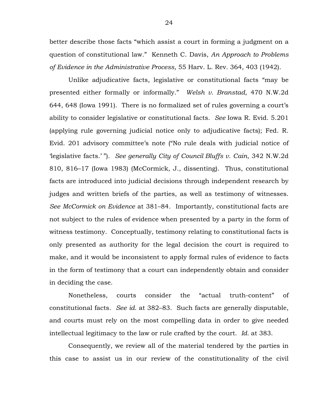better describe those facts "which assist a court in forming a judgment on a question of constitutional law." Kenneth C. Davis, *An Approach to Problems of Evidence in the Administrative Process*, 55 Harv. L. Rev. 364, 403 (1942).

 Unlike adjudicative facts, legislative or constitutional facts "may be presented either formally or informally." *Welsh v. Branstad*, 470 N.W.2d 644, 648 (Iowa 1991). There is no formalized set of rules governing a court's ability to consider legislative or constitutional facts. *See* Iowa R. Evid. 5.201 (applying rule governing judicial notice only to adjudicative facts); Fed. R. Evid. 201 advisory committee's note ("No rule deals with judicial notice of 'legislative facts.' "). *See generally City of Council Bluffs v. Cain*, 342 N.W.2d 810, 816–17 (Iowa 1983) (McCormick, J., dissenting). Thus, constitutional facts are introduced into judicial decisions through independent research by judges and written briefs of the parties, as well as testimony of witnesses. *See McCormick on Evidence* at 381–84. Importantly, constitutional facts are not subject to the rules of evidence when presented by a party in the form of witness testimony. Conceptually, testimony relating to constitutional facts is only presented as authority for the legal decision the court is required to make, and it would be inconsistent to apply formal rules of evidence to facts in the form of testimony that a court can independently obtain and consider in deciding the case.

 Nonetheless, courts consider the "actual truth-content" of constitutional facts. *See id.* at 382–83. Such facts are generally disputable, and courts must rely on the most compelling data in order to give needed intellectual legitimacy to the law or rule crafted by the court. *Id.* at 383.

 Consequently, we review all of the material tendered by the parties in this case to assist us in our review of the constitutionality of the civil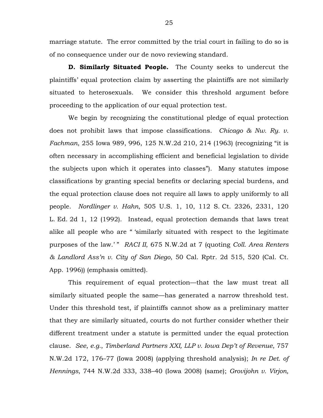marriage statute. The error committed by the trial court in failing to do so is of no consequence under our de novo reviewing standard.

**D. Similarly Situated People.** The County seeks to undercut the plaintiffs' equal protection claim by asserting the plaintiffs are not similarly situated to heterosexuals. We consider this threshold argument before proceeding to the application of our equal protection test.

We begin by recognizing the constitutional pledge of equal protection does not prohibit laws that impose classifications. *Chicago & Nw. Ry. v. Fachman*, 255 Iowa 989, 996, 125 N.W.2d 210, 214 (1963) (recognizing "it is often necessary in accomplishing efficient and beneficial legislation to divide the subjects upon which it operates into classes"). Many statutes impose classifications by granting special benefits or declaring special burdens, and the equal protection clause does not require all laws to apply uniformly to all people. *Nordlinger v. Hahn*, 505 U.S. 1, 10, 112 S. Ct. 2326, 2331, 120 L. Ed. 2d 1, 12 (1992). Instead, equal protection demands that laws treat alike all people who are " 'similarly situated with respect to the legitimate purposes of the law.' " *RACI II*, 675 N.W.2d at 7 (quoting *Coll. Area Renters & Landlord Ass'n v. City of San Diego*, 50 Cal. Rptr. 2d 515, 520 (Cal. Ct. App. 1996)) (emphasis omitted).

This requirement of equal protection—that the law must treat all similarly situated people the same—has generated a narrow threshold test. Under this threshold test, if plaintiffs cannot show as a preliminary matter that they are similarly situated, courts do not further consider whether their different treatment under a statute is permitted under the equal protection clause. *See*, *e.g.*, *Timberland Partners XXI, LLP v. Iowa Dep't of Revenue*, 757 N.W.2d 172, 176–77 (Iowa 2008) (applying threshold analysis); *In re Det. of Hennings*, 744 N.W.2d 333, 338–40 (Iowa 2008) (same); *Grovijohn v. Virjon,* 

25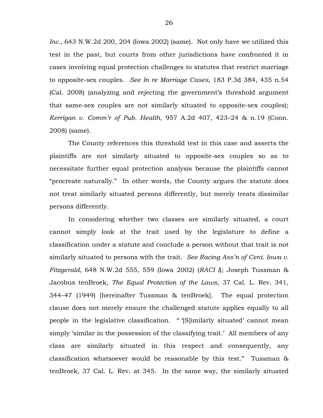*Inc.*, 643 N.W.2d 200, 204 (Iowa 2002) (same). Not only have we utilized this test in the past, but courts from other jurisdictions have confronted it in cases involving equal protection challenges to statutes that restrict marriage to opposite-sex couples. *See In re Marriage Cases*, 183 P.3d 384, 435 n.54 (Cal. 2008) (analyzing and rejecting the government's threshold argument that same-sex couples are not similarly situated to opposite-sex couples); *Kerrigan v. Comm'r of Pub. Health*, 957 A.2d 407, 423–24 & n.19 (Conn. 2008) (same).

The County references this threshold test in this case and asserts the plaintiffs are not similarly situated to opposite-sex couples so as to necessitate further equal protection analysis because the plaintiffs cannot "procreate naturally." In other words, the County argues the statute does not treat similarly situated persons differently, but merely treats dissimilar persons differently.

In considering whether two classes are similarly situated, a court cannot simply look at the trait used by the legislature to define a classification under a statute and conclude a person without that trait is not similarly situated to persons with the trait. *See Racing Ass'n of Cent. Iowa v. Fitzgerald*, 648 N.W.2d 555, 559 (Iowa 2002) (*RACI I*); Joseph Tussman & Jacobus tenBroek, *The Equal Protection of the Laws*, 37 Cal. L. Rev. 341, 344–47 (1949) [hereinafter Tussman & tenBroek]. The equal protection clause does not merely ensure the challenged statute applies equally to all people in the legislative classification. " '[S]imilarly situated' cannot mean simply 'similar in the possession of the classifying trait.' All members of any class are similarly situated in this respect and consequently, any classification whatsoever would be reasonable by this test." Tussman & tenBroek, 37 Cal. L. Rev. at 345. In the same way, the similarly situated

26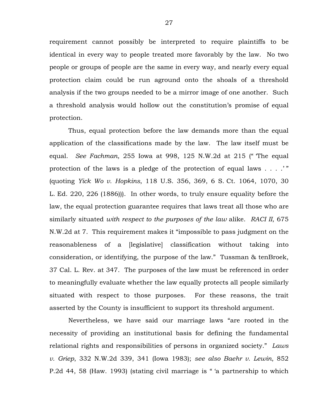requirement cannot possibly be interpreted to require plaintiffs to be identical in every way to people treated more favorably by the law. No two people or groups of people are the same in every way, and nearly every equal protection claim could be run aground onto the shoals of a threshold analysis if the two groups needed to be a mirror image of one another. Such a threshold analysis would hollow out the constitution's promise of equal protection.

Thus, equal protection before the law demands more than the equal application of the classifications made by the law. The law itself must be equal. *See Fachman*, 255 Iowa at 998, 125 N.W.2d at 215 (" 'The equal protection of the laws is a pledge of the protection of equal laws  $\dots$ . (quoting *Yick Wo v. Hopkins*, 118 U.S. 356, 369, 6 S. Ct. 1064, 1070, 30 L. Ed. 220, 226 (1886))). In other words, to truly ensure equality before the law, the equal protection guarantee requires that laws treat all those who are similarly situated *with respect to the purposes of the law* alike. *RACI II*, 675 N.W.2d at 7. This requirement makes it "impossible to pass judgment on the reasonableness of a [legislative] classification without taking into consideration, or identifying, the purpose of the law." Tussman & tenBroek, 37 Cal. L. Rev. at 347. The purposes of the law must be referenced in order to meaningfully evaluate whether the law equally protects all people similarly situated with respect to those purposes. For these reasons, the trait asserted by the County is insufficient to support its threshold argument.

Nevertheless, we have said our marriage laws "are rooted in the necessity of providing an institutional basis for defining the fundamental relational rights and responsibilities of persons in organized society." *Laws v. Griep*, 332 N.W.2d 339, 341 (Iowa 1983); *see also Baehr v. Lewin*, 852 P.2d 44, 58 (Haw. 1993) (stating civil marriage is " 'a partnership to which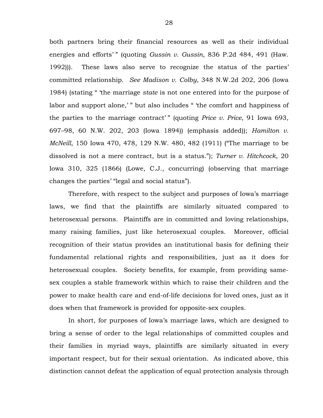both partners bring their financial resources as well as their individual energies and efforts'" (quoting *Gussin v. Gussin*, 836 P.2d 484, 491 (Haw. 1992))). These laws also serve to recognize the status of the parties' committed relationship. *See Madison v. Colby*, 348 N.W.2d 202, 206 (Iowa 1984) (stating " 'the marriage *state* is not one entered into for the purpose of labor and support alone,'" but also includes " the comfort and happiness of the parties to the marriage contract' " (quoting *Price v. Price*, 91 Iowa 693, 697–98, 60 N.W. 202, 203 (Iowa 1894)) (emphasis added)); *Hamilton v. McNeill*, 150 Iowa 470, 478, 129 N.W. 480, 482 (1911) ("The marriage to be dissolved is not a mere contract, but is a status."); *Turner v. Hitchcock*, 20 Iowa 310, 325 (1866) (Lowe, C.J., concurring) (observing that marriage changes the parties' "legal and social status").

Therefore, with respect to the subject and purposes of Iowa's marriage laws, we find that the plaintiffs are similarly situated compared to heterosexual persons. Plaintiffs are in committed and loving relationships, many raising families, just like heterosexual couples. Moreover, official recognition of their status provides an institutional basis for defining their fundamental relational rights and responsibilities, just as it does for heterosexual couples. Society benefits, for example, from providing samesex couples a stable framework within which to raise their children and the power to make health care and end-of-life decisions for loved ones, just as it does when that framework is provided for opposite-sex couples.

In short, for purposes of Iowa's marriage laws, which are designed to bring a sense of order to the legal relationships of committed couples and their families in myriad ways, plaintiffs are similarly situated in every important respect, but for their sexual orientation. As indicated above, this distinction cannot defeat the application of equal protection analysis through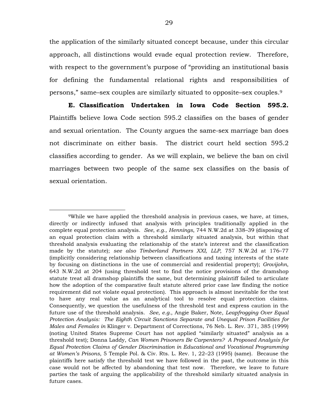the application of the similarly situated concept because, under this circular approach, all distinctions would evade equal protection review. Therefore, with respect to the government's purpose of "providing an institutional basis for defining the fundamental relational rights and responsibilities of persons," same–sex couples are similarly situated to opposite–sex couples.9

**E. Classification Undertaken in Iowa Code Section 595.2.** Plaintiffs believe Iowa Code section 595.2 classifies on the bases of gender and sexual orientation. The County argues the same-sex marriage ban does not discriminate on either basis. The district court held section 595.2 classifies according to gender. As we will explain, we believe the ban on civil marriages between two people of the same sex classifies on the basis of sexual orientation.

 <sup>9</sup>While we have applied the threshold analysis in previous cases, we have, at times, directly or indirectly infused that analysis with principles traditionally applied in the complete equal protection analysis. *See*, *e.g.*, *Hennings*, 744 N.W.2d at 338–39 (disposing of an equal protection claim with a threshold similarly situated analysis, but within that threshold analysis evaluating the relationship of the state's interest and the classification made by the statute); *see also Timberland Partners XXI, LLP*, 757 N.W.2d at 176–77 (implicitly considering relationship between classifications and taxing interests of the state by focusing on distinctions in the use of commercial and residential property); *Grovijohn*, 643 N.W.2d at 204 (using threshold test to find the notice provisions of the dramshop statute treat all dramshop plaintiffs the same, but determining plaintiff failed to articulate how the adoption of the comparative fault statute altered prior case law finding the notice requirement did not violate equal protection). This approach is almost inevitable for the test to have any real value as an analytical tool to resolve equal protection claims. Consequently, we question the usefulness of the threshold test and express caution in the future use of the threshold analysis. *See*, *e.g.*, Angie Baker, Note, *Leapfrogging Over Equal Protection Analysis: The Eighth Circuit Sanctions Separate and Unequal Prison Facilities for Males and Females in* Klinger v. Department of Corrections, 76 Neb. L. Rev. 371, 385 (1999) (noting United States Supreme Court has not applied "similarly situated" analysis as a threshold test); Donna Laddy, *Can Women Prisoners Be Carpenters? A Proposed Analysis for Equal Protection Claims of Gender Discrimination in Educational and Vocational Programming at Women's Prisons*, 5 Temple Pol. & Civ. Rts. L. Rev. 1, 22–23 (1995) (same). Because the plaintiffs here satisfy the threshold test we have followed in the past, the outcome in this case would not be affected by abandoning that test now. Therefore, we leave to future parties the task of arguing the applicability of the threshold similarly situated analysis in future cases.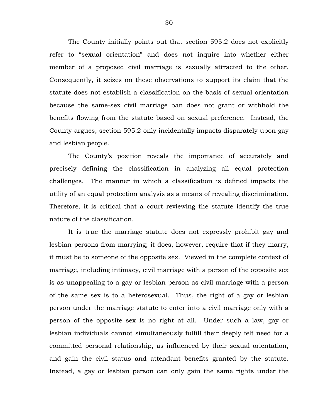The County initially points out that section 595.2 does not explicitly refer to "sexual orientation" and does not inquire into whether either member of a proposed civil marriage is sexually attracted to the other. Consequently, it seizes on these observations to support its claim that the statute does not establish a classification on the basis of sexual orientation because the same-sex civil marriage ban does not grant or withhold the benefits flowing from the statute based on sexual preference. Instead, the County argues, section 595.2 only incidentally impacts disparately upon gay and lesbian people.

The County's position reveals the importance of accurately and precisely defining the classification in analyzing all equal protection challenges. The manner in which a classification is defined impacts the utility of an equal protection analysis as a means of revealing discrimination. Therefore, it is critical that a court reviewing the statute identify the true nature of the classification.

It is true the marriage statute does not expressly prohibit gay and lesbian persons from marrying; it does, however, require that if they marry, it must be to someone of the opposite sex. Viewed in the complete context of marriage, including intimacy, civil marriage with a person of the opposite sex is as unappealing to a gay or lesbian person as civil marriage with a person of the same sex is to a heterosexual. Thus, the right of a gay or lesbian person under the marriage statute to enter into a civil marriage only with a person of the opposite sex is no right at all. Under such a law, gay or lesbian individuals cannot simultaneously fulfill their deeply felt need for a committed personal relationship, as influenced by their sexual orientation, and gain the civil status and attendant benefits granted by the statute. Instead, a gay or lesbian person can only gain the same rights under the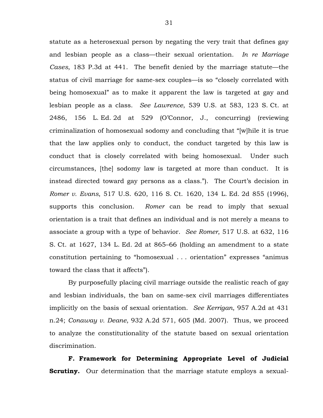statute as a heterosexual person by negating the very trait that defines gay and lesbian people as a class—their sexual orientation. *In re Marriage Cases*, 183 P.3d at 441. The benefit denied by the marriage statute—the status of civil marriage for same-sex couples—is so "closely correlated with being homosexual" as to make it apparent the law is targeted at gay and lesbian people as a class. *See Lawrence*, 539 U.S. at 583, 123 S. Ct. at 2486, 156 L. Ed. 2d at 529 (O'Connor, J., concurring) (reviewing criminalization of homosexual sodomy and concluding that "[w]hile it is true that the law applies only to conduct, the conduct targeted by this law is conduct that is closely correlated with being homosexual. Under such circumstances, [the] sodomy law is targeted at more than conduct. It is instead directed toward gay persons as a class."). The Court's decision in *Romer v. Evans*, 517 U.S. 620, 116 S. Ct. 1620, 134 L. Ed. 2d 855 (1996), supports this conclusion. *Romer* can be read to imply that sexual orientation is a trait that defines an individual and is not merely a means to associate a group with a type of behavior. *See Romer*, 517 U.S. at 632, 116 S. Ct. at 1627, 134 L. Ed. 2d at 865–66 (holding an amendment to a state constitution pertaining to "homosexual . . . orientation" expresses "animus toward the class that it affects").

By purposefully placing civil marriage outside the realistic reach of gay and lesbian individuals, the ban on same-sex civil marriages differentiates implicitly on the basis of sexual orientation. *See Kerrigan*, 957 A.2d at 431 n.24; *Conaway v. Deane*, 932 A.2d 571, 605 (Md. 2007). Thus, we proceed to analyze the constitutionality of the statute based on sexual orientation discrimination.

**F. Framework for Determining Appropriate Level of Judicial Scrutiny.** Our determination that the marriage statute employs a sexual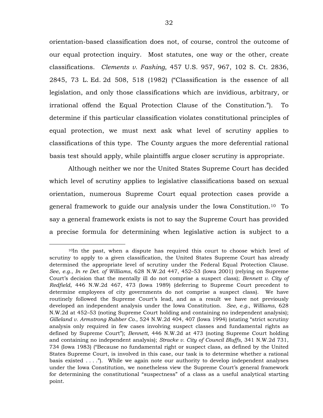orientation-based classification does not, of course, control the outcome of our equal protection inquiry. Most statutes, one way or the other, create classifications. *Clements v. Fashing*, 457 U.S. 957, 967, 102 S. Ct. 2836, 2845, 73 L. Ed. 2d 508, 518 (1982) ("Classification is the essence of all legislation, and only those classifications which are invidious, arbitrary, or irrational offend the Equal Protection Clause of the Constitution."). To determine if this particular classification violates constitutional principles of equal protection, we must next ask what level of scrutiny applies to classifications of this type. The County argues the more deferential rational basis test should apply, while plaintiffs argue closer scrutiny is appropriate.

Although neither we nor the United States Supreme Court has decided which level of scrutiny applies to legislative classifications based on sexual orientation, numerous Supreme Court equal protection cases provide a general framework to guide our analysis under the Iowa Constitution.10 To say a general framework exists is not to say the Supreme Court has provided a precise formula for determining when legislative action is subject to a

 <sup>10</sup>In the past, when a dispute has required this court to choose which level of scrutiny to apply to a given classification, the United States Supreme Court has already determined the appropriate level of scrutiny under the Federal Equal Protection Clause. *See*, *e.g.*, *In re Det. of Williams*, 628 N.W.2d 447, 452–53 (Iowa 2001) (relying on Supreme Court's decision that the mentally ill do not comprise a suspect class); *Bennett v. City of Redfield*, 446 N.W.2d 467, 473 (Iowa 1989) (deferring to Supreme Court precedent to determine employees of city governments do not comprise a suspect class). We have routinely followed the Supreme Court's lead, and as a result we have not previously developed an independent analysis under the Iowa Constitution. *See*, *e.g.*, *Williams*, 628 N.W.2d at 452–53 (noting Supreme Court holding and containing no independent analysis); *Gilleland v. Armstrong Rubber Co.*, 524 N.W.2d 404, 407 (Iowa 1994) (stating "strict scrutiny analysis only required in few cases involving suspect classes and fundamental rights as defined by Supreme Court"); *Bennett*, 446 N.W.2d at 473 (noting Supreme Court holding and containing no independent analysis); *Stracke v. City of Council Bluffs*, 341 N.W.2d 731, 734 (Iowa 1983) ("Because no fundamental right or suspect class, as defined by the United States Supreme Court, is involved in this case, our task is to determine whether a rational basis existed  $\dots$ ."). While we again note our authority to develop independent analyses under the Iowa Constitution, we nonetheless view the Supreme Court's general framework for determining the constitutional "suspectness" of a class as a useful analytical starting point.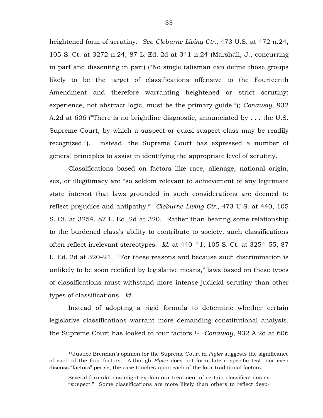heightened form of scrutiny. *See Cleburne Living Ctr.*, 473 U.S. at 472 n.24, 105 S. Ct. at 3272 n.24, 87 L. Ed. 2d at 341 n.24 (Marshall, J., concurring in part and dissenting in part) ("No single talisman can define those groups likely to be the target of classifications offensive to the Fourteenth Amendment and therefore warranting heightened or strict scrutiny; experience, not abstract logic, must be the primary guide."); *Conaway*, 932 A.2d at 606 ("There is no brightline diagnostic, annunciated by . . . the U.S. Supreme Court, by which a suspect or quasi-suspect class may be readily recognized."). Instead, the Supreme Court has expressed a number of general principles to assist in identifying the appropriate level of scrutiny.

Classifications based on factors like race, alienage, national origin, sex, or illegitimacy are "so seldom relevant to achievement of any legitimate state interest that laws grounded in such considerations are deemed to reflect prejudice and antipathy." *Cleburne Living Ctr.*, 473 U.S. at 440, 105 S. Ct. at 3254, 87 L. Ed. 2d at 320. Rather than bearing some relationship to the burdened class's ability to contribute to society, such classifications often reflect irrelevant stereotypes. *Id*. at 440–41, 105 S. Ct. at 3254–55, 87 L. Ed. 2d at 320–21. "For these reasons and because such discrimination is unlikely to be soon rectified by legislative means," laws based on these types of classifications must withstand more intense judicial scrutiny than other types of classifications. *Id*.

Instead of adopting a rigid formula to determine whether certain legislative classifications warrant more demanding constitutional analysis, the Supreme Court has looked to four factors.11 *Conaway*, 932 A.2d at 606

 <sup>11</sup>Justice Brennan's opinion for the Supreme Court in *Plyler* suggests the significance of each of the four factors. Although *Plyler* does not formulate a specific test, nor even discuss "factors" per se, the case touches upon each of the four traditional factors:

Several formulations might explain our treatment of certain classifications as "suspect." Some classifications are more likely than others to reflect deep-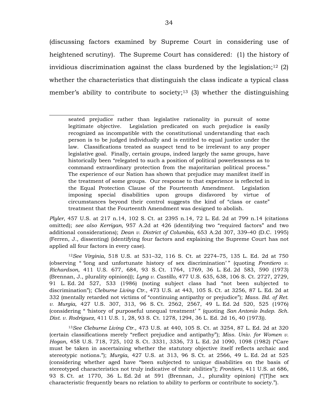(discussing factors examined by Supreme Court in considering use of heightened scrutiny). The Supreme Court has considered: (1) the history of invidious discrimination against the class burdened by the legislation;<sup>12</sup> (2) whether the characteristics that distinguish the class indicate a typical class member's ability to contribute to society;<sup>13</sup> (3) whether the distinguishing

l

*Plyler*, 457 U.S. at 217 n.14, 102 S. Ct. at 2395 n.14, 72 L. Ed. 2d at 799 n.14 (citations omitted); *see also Kerrigan*, 957 A.2d at 426 (identifying two "required factors" and two additional considerations); *Dean v. District of Columbia*, 653 A.2d 307, 339–40 (D.C. 1995) (Ferren, J., dissenting) (identifying four factors and explaining the Supreme Court has not applied all four factors in every case).

<sup>12</sup>*See Virginia*, 518 U.S. at 531–32, 116 S. Ct. at 2274–75, 135 L. Ed. 2d at 750 (observing " 'long and unfortunate history of sex discrimination' " (quoting *Frontiero v. Richardson*, 411 U.S. 677, 684, 93 S. Ct. 1764, 1769, 36 L. Ed. 2d 583, 590 (1973) (Brennan, J., plurality opinion))); *Lyng v. Castillo,* 477 U.S. 635, 638, 106 S. Ct. 2727, 2729, 91 L. Ed. 2d 527, 533 (1986) (noting subject class had "not been subjected to discrimination"); *Cleburne Living Ctr*., 473 U.S. at 443, 105 S. Ct. at 3256, 87 L. Ed. 2d at 332 (mentally retarded not victims of "continuing antipathy or prejudice"); *Mass. Bd. of Ret. v. Murgia,* 427 U.S. 307, 313, 96 S. Ct. 2562, 2567, 49 L. Ed. 2d 520, 525 (1976) (considering " 'history of purposeful unequal treatment' " (quoting *San Antonio Indep. Sch. Dist. v. Rodriguez*, 411 U.S. 1, 28, 93 S. Ct. 1278, 1294, 36 L. Ed. 2d 16, 40 (1973)).

<sup>13</sup>*See Cleburne Living Ctr.*, 473 U.S. at 440, 105 S. Ct. at 3254, 87 L. Ed. 2d at 320 (certain classifications merely "reflect prejudice and antipathy"); *Miss. Univ. for Women v. Hogan*, 458 U.S. 718, 725, 102 S. Ct. 3331, 3336, 73 L. Ed. 2d 1090, 1098 (1982) ("Care must be taken in ascertaining whether the statutory objective itself reflects archaic and stereotypic notions."); *Murgia*, 427 U.S. at 313, 96 S. Ct. at 2566, 49 L. Ed. 2d at 525 (considering whether aged have "been subjected to unique disabilities on the basis of stereotyped characteristics not truly indicative of their abilities"); *Frontiero*, 411 U.S. at 686, 93 S. Ct. at 1770, 36 L. Ed. 2d at 591 (Brennan, J., plurality opinion) ("[T]he sex characteristic frequently bears no relation to ability to perform or contribute to society.").

seated prejudice rather than legislative rationality in pursuit of some legitimate objective. Legislation predicated on such prejudice is easily recognized as incompatible with the constitutional understanding that each person is to be judged individually and is entitled to equal justice under the law. Classifications treated as suspect tend to be irrelevant to any proper legislative goal. Finally, certain groups, indeed largely the same groups, have historically been "relegated to such a position of political powerlessness as to command extraordinary protection from the majoritarian political process." The experience of our Nation has shown that prejudice may manifest itself in the treatment of some groups. Our response to that experience is reflected in the Equal Protection Clause of the Fourteenth Amendment. Legislation imposing special disabilities upon groups disfavored by virtue of circumstances beyond their control suggests the kind of "class or caste" treatment that the Fourteenth Amendment was designed to abolish.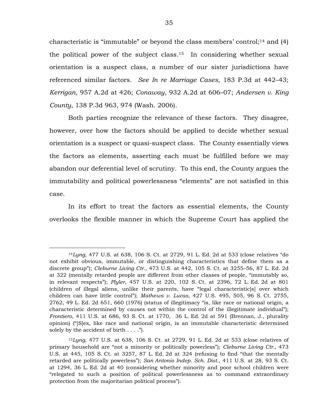characteristic is "immutable" or beyond the class members' control;<sup>14</sup> and  $(4)$ the political power of the subject class.15 In considering whether sexual orientation is a suspect class, a number of our sister jurisdictions have referenced similar factors. *See In re Marriage Cases*, 183 P.3d at 442–43; *Kerrigan*, 957 A.2d at 426; *Conaway*, 932 A.2d at 606–07; *Andersen v. King County*, 138 P.3d 963, 974 (Wash. 2006).

Both parties recognize the relevance of these factors. They disagree, however, over how the factors should be applied to decide whether sexual orientation is a suspect or quasi-suspect class. The County essentially views the factors as elements, asserting each must be fulfilled before we may abandon our deferential level of scrutiny. To this end, the County argues the immutability and political powerlessness "elements" are not satisfied in this case.

In its effort to treat the factors as essential elements, the County overlooks the flexible manner in which the Supreme Court has applied the

 <sup>14</sup>*Lyng*, 477 U.S. at 638, 106 S. Ct. at 2729, 91 L. Ed. 2d at 533 (close relatives "do not exhibit obvious, immutable, or distinguishing characteristics that define them as a discrete group"); *Cleburne Living Ctr.*, 473 U.S. at 442, 105 S. Ct. at 3255–56, 87 L. Ed. 2d at 322 (mentally retarded people are different from other classes of people, "immutably so, in relevant respects"); *Plyler*, 457 U.S. at 220, 102 S. Ct. at 2396, 72 L. Ed. 2d at 801 (children of illegal aliens, unlike their parents, have "legal characteristic[s] over which children can have little control"); *Mathews v. Lucas*, 427 U.S. 495, 505, 96 S. Ct. 2755, 2762, 49 L. Ed. 2d 651, 660 (1976) (status of illegitimacy "is, like race or national origin, a characteristic determined by causes not within the control of the illegitimate individual"); *Frontiero*, 411 U.S. at 686, 93 S. Ct. at 1770, 36 L. Ed. 2d at 591 (Brennan, J., plurality opinion) ("[S]ex, like race and national origin, is an immutable characteristic determined solely by the accident of birth  $\dots$ .").

<sup>15</sup>*Lyng*, 477 U.S. at 638, 106 S. Ct. at 2729, 91 L. Ed. 2d at 533 (close relatives of primary household are "not a minority or politically powerless"); *Cleburne Living Ctr.,* 473 U.S. at 445, 105 S. Ct. at 3257, 87 L. Ed. 2d at 324 (refusing to find "that the mentally retarded are politically powerless"); *San Antonio Indep. Sch. Dist.*, 411 U.S. at 28, 93 S. Ct. at 1294, 36 L. Ed. 2d at 40 (considering whether minority and poor school children were "relegated to such a position of political powerlessness as to command extraordinary protection from the majoritarian political process").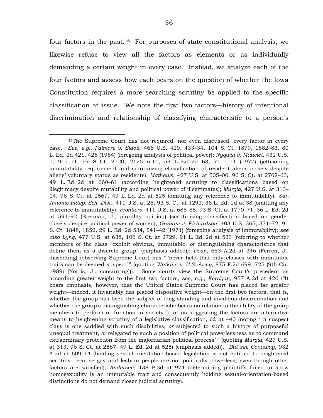four factors in the past.<sup>16</sup> For purposes of state constitutional analysis, we likewise refuse to view all the factors as elements or as individually demanding a certain weight in every case. Instead, we analyze each of the four factors and assess how each bears on the question of whether the Iowa Constitution requires a more searching scrutiny be applied to the specific classification at issue. We note the first two factors—history of intentional discrimination and relationship of classifying characteristic to a person's

<sup>&</sup>lt;sup>16</sup>The Supreme Court has not required, nor even discussed, every factor in every case. *See*, *e.g.*, *Palmore v. Sidoti*, 466 U.S. 429, 433–34, 104 S. Ct. 1879, 1882–83, 80 L. Ed. 2d 421, 426 (1984) (foregoing analysis of political power); *Nyquist v. Mauclet*, 432 U.S. 1, 9 n.11, 97 S. Ct. 2120, 2125 n.11, 53 L. Ed. 2d 63, 71 n.11 (1977) (jettisoning immutability requirement and scrutinizing classification of resident aliens closely despite aliens' voluntary status as residents); *Mathews*, 427 U.S. at 505–06, 96 S. Ct. at 2762–63, 49 L. Ed. 2d at 660–61 (according heightened scrutiny to classifications based on illegitimacy despite mutability and political power of illegitimates); *Murgia,* 427 U.S. at 313– 14, 96 S. Ct. at 2567, 49 L. Ed. 2d at 525 (omitting any reference to immutability); *San Antonio Indep. Sch. Dist.*, 411 U.S. at 25, 93 S. Ct. at 1292, 36 L. Ed. 2d at 38 (omitting any reference to immutability); *Frontiero,* 411 U.S. at 685–88, 93 S. Ct. at 1770–71, 36 L. Ed. 2d at 591–92 (Brennan, J., plurality opinion) (scrutinizing classification based on gender closely despite political power of women); *Graham v. Richardson*, 403 U.S. 365, 371–72, 91 S. Ct. 1848, 1852, 29 L. Ed. 2d 534, 541–42 (1971) (foregoing analysis of immutability); *see also Lyng*, 477 U.S. at 638, 106 S. Ct. at 2729, 91 L. Ed. 2d at 533 (referring to whether members of the class "exhibit obvious, immutable, *or* distinguishing characteristics that define them as a discrete group" (emphasis added)); *Dean*, 653 A.2d at 346 (Ferren, J., dissenting) (observing Supreme Court has " 'never held that only classes with immutable traits can be deemed suspect' " (quoting *Watkins v. U.S. Army*, 875 F.2d 699, 725 (9th Cir. 1989) (Norris, J., concurring))). Some courts view the Supreme Court's precedent as according greater weight to the first two factors, *see*, *e.g.*, *Kerrigan*, 957 A.2d at 426 ("It bears emphasis, however, that the United States Supreme Court has placed far greater weight—indeed, it invariably has placed dispositive weight—on the first two factors, that is, whether the group has been the subject of long-standing and invidious discrimination and whether the group's distinguishing characteristic bears no relation to the ability of the group members to perform or function in society."), or as suggesting the factors are alternative means to heightening scrutiny of a legislative classification, *id.* at 440 (noting " 'a suspect class is one saddled with such disabilities, *or* subjected to such a history of purposeful unequal treatment, *or* relegated to such a position of political powerlessness as to command extraordinary protection from the majoritarian political process' " (quoting *Murgia*, 427 U.S. at 313, 96 S. Ct. at 2567, 49 L. Ed. 2d at 525) (emphasis added)). *But see Conaway*, 932 A.2d at 609–14 (holding sexual-orientation-based legislation is not entitled to heightened scrutiny because gay and lesbian people are not politically powerless, even though other factors are satisfied); *Andersen*, 138 P.3d at 974 (determining plaintiffs failed to show homosexuality is an immutable trait and consequently holding sexual-orientation-based distinctions do not demand closer judicial scrutiny).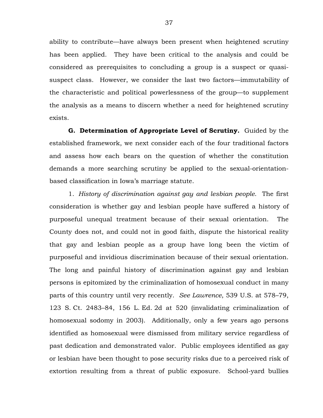ability to contribute—have always been present when heightened scrutiny has been applied. They have been critical to the analysis and could be considered as prerequisites to concluding a group is a suspect or quasisuspect class. However, we consider the last two factors—immutability of the characteristic and political powerlessness of the group—to supplement the analysis as a means to discern whether a need for heightened scrutiny exists.

**G. Determination of Appropriate Level of Scrutiny.** Guided by the established framework, we next consider each of the four traditional factors and assess how each bears on the question of whether the constitution demands a more searching scrutiny be applied to the sexual-orientationbased classification in Iowa's marriage statute.

1. *History of discrimination against gay and lesbian people*. The first consideration is whether gay and lesbian people have suffered a history of purposeful unequal treatment because of their sexual orientation. The County does not, and could not in good faith, dispute the historical reality that gay and lesbian people as a group have long been the victim of purposeful and invidious discrimination because of their sexual orientation. The long and painful history of discrimination against gay and lesbian persons is epitomized by the criminalization of homosexual conduct in many parts of this country until very recently. *See Lawrence*, 539 U.S. at 578–79, 123 S. Ct. 2483–84, 156 L. Ed. 2d at 520 (invalidating criminalization of homosexual sodomy in 2003). Additionally, only a few years ago persons identified as homosexual were dismissed from military service regardless of past dedication and demonstrated valor. Public employees identified as gay or lesbian have been thought to pose security risks due to a perceived risk of extortion resulting from a threat of public exposure. School-yard bullies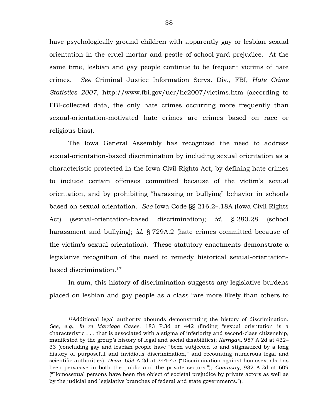have psychologically ground children with apparently gay or lesbian sexual orientation in the cruel mortar and pestle of school-yard prejudice. At the same time, lesbian and gay people continue to be frequent victims of hate crimes. *See* Criminal Justice Information Servs. Div., FBI, *Hate Crime Statistics 2007*, http://www.fbi.gov/ucr/hc2007/victims.htm (according to FBI-collected data, the only hate crimes occurring more frequently than sexual-orientation-motivated hate crimes are crimes based on race or religious bias).

The Iowa General Assembly has recognized the need to address sexual-orientation-based discrimination by including sexual orientation as a characteristic protected in the Iowa Civil Rights Act, by defining hate crimes to include certain offenses committed because of the victim's sexual orientation, and by prohibiting "harassing or bullying" behavior in schools based on sexual orientation. *See* Iowa Code §§ 216.2–.18A (Iowa Civil Rights Act) (sexual-orientation-based discrimination); *id.* § 280.28 (school harassment and bullying); *id*. § 729A.2 (hate crimes committed because of the victim's sexual orientation). These statutory enactments demonstrate a legislative recognition of the need to remedy historical sexual-orientationbased discrimination.17

In sum, this history of discrimination suggests any legislative burdens placed on lesbian and gay people as a class "are more likely than others to

<sup>17</sup>Additional legal authority abounds demonstrating the history of discrimination. *See*, *e.g.*, *In re Marriage Cases*, 183 P.3d at 442 (finding "sexual orientation is a characteristic . . . that is associated with a stigma of inferiority and second-class citizenship, manifested by the group's history of legal and social disabilities); *Kerrigan*, 957 A.2d at 432– 33 (concluding gay and lesbian people have "been subjected to and stigmatized by a long history of purposeful and invidious discrimination," and recounting numerous legal and scientific authorities); *Dean*, 653 A.2d at 344–45 ("Discrimination against homosexuals has been pervasive in both the public and the private sectors."); *Conaway*, 932 A.2d at 609 ("Homosexual persons have been the object of societal prejudice by private actors as well as by the judicial and legislative branches of federal and state governments.").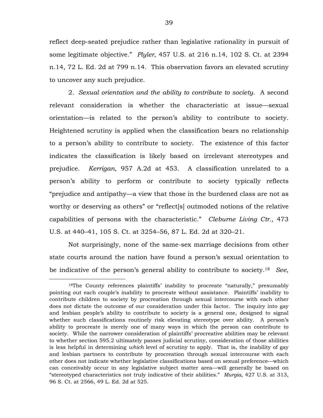reflect deep-seated prejudice rather than legislative rationality in pursuit of some legitimate objective." *Plyler*, 457 U.S. at 216 n.14, 102 S. Ct. at 2394 n.14, 72 L. Ed. 2d at 799 n.14. This observation favors an elevated scrutiny to uncover any such prejudice.

2. *Sexual orientation and the ability to contribute to society*. A second relevant consideration is whether the characteristic at issue—sexual orientation—is related to the person's ability to contribute to society. Heightened scrutiny is applied when the classification bears no relationship to a person's ability to contribute to society. The existence of this factor indicates the classification is likely based on irrelevant stereotypes and prejudice. *Kerrigan*, 957 A.2d at 453. A classification unrelated to a person's ability to perform or contribute to society typically reflects "prejudice and antipathy—a view that those in the burdened class are not as worthy or deserving as others" or "reflect[s] outmoded notions of the relative capabilities of persons with the characteristic." *Cleburne Living Ctr.*, 473 U.S. at 440–41, 105 S. Ct. at 3254–56, 87 L. Ed. 2d at 320–21.

Not surprisingly, none of the same-sex marriage decisions from other state courts around the nation have found a person's sexual orientation to be indicative of the person's general ability to contribute to society.18 *See*,

<sup>&</sup>lt;sup>18</sup>The County references plaintiffs' inability to procreate "naturally," presumably pointing out each couple's inability to procreate without assistance. Plaintiffs' inability to contribute children to society by procreation through sexual intercourse with each other does not dictate the outcome of our consideration under this factor. The inquiry into gay and lesbian people's ability to contribute to society is a general one, designed to signal whether such classifications routinely risk elevating stereotype over ability. A person's ability to procreate is merely one of many ways in which the person can contribute to society. While the narrower consideration of plaintiffs' procreative abilities may be relevant to whether section 595.2 ultimately passes judicial scrutiny, consideration of those abilities is less helpful in determining *which* level of scrutiny to apply. That is, the inability of gay and lesbian partners to contribute by procreation through sexual intercourse with each other does not indicate whether legislative classifications based on sexual preference—which can conceivably occur in any legislative subject matter area—will generally be based on "stereotyped characteristics not truly indicative of their abilities." *Murgia,* 427 U.S. at 313, 96 S. Ct. at 2566, 49 L. Ed. 2d at 525.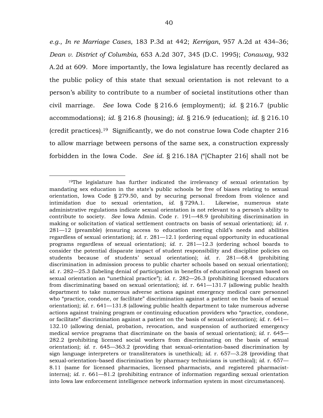*e.g.*, *In re Marriage Cases*, 183 P.3d at 442; *Kerrigan*, 957 A.2d at 434–36; *Dean v. District of Columbia*, 653 A.2d 307, 345 (D.C. 1995); *Conaway*, 932 A.2d at 609. More importantly, the Iowa legislature has recently declared as the public policy of this state that sexual orientation is not relevant to a person's ability to contribute to a number of societal institutions other than civil marriage. *See* Iowa Code § 216.6 (employment); *id.* § 216.7 (public accommodations); *id.* § 216.8 (housing); *id.* § 216.9 (education); *id.* § 216.10 (credit practices).19 Significantly, we do not construe Iowa Code chapter 216 to allow marriage between persons of the same sex, a construction expressly forbidden in the Iowa Code. *See id.* § 216.18A ("[Chapter 216] shall not be

 <sup>19</sup>The legislature has further indicated the irrelevancy of sexual orientation by mandating sex education in the state's public schools be free of biases relating to sexual orientation, Iowa Code § 279.50, and by securing personal freedom from violence and intimidation due to sexual orientation, *id.* § 729A.1. Likewise, numerous state administrative regulations indicate sexual orientation is not relevant to a person's ability to contribute to society. *See* Iowa Admin. Code r. 191—48.9 (prohibiting discrimination in making or solicitation of viatical settlement contracts on basis of sexual orientation); *id.* r. 281—12 (preamble) (ensuring access to education meeting child's needs and abilities regardless of sexual orientation); *id.* r. 281—12.1 (ordering equal opportunity in educational programs regardless of sexual orientation); *id.* r. 281—12.3 (ordering school boards to consider the potential disparate impact of student responsibility and discipline policies on students because of students' sexual orientation); *id.* r. 281—68.4 (prohibiting discrimination in admission process to public charter schools based on sexual orientation); *id.* r. 282—25.3 (labeling denial of participation in benefits of educational program based on sexual orientation an "unethical practice"); *id.* r. 282—26.3 (prohibiting licensed educators from discriminating based on sexual orientation); *id.* r. 641—131.7 (allowing public health department to take numerous adverse actions against emergency medical care personnel who "practice, condone, or facilitate" discrimination against a patient on the basis of sexual orientation); *id.* r. 641—131.8 (allowing public health department to take numerous adverse actions against training program or continuing education providers who "practice, condone, or facilitate" discrimination against a patient on the basis of sexual orientation); *id.* r. 641— 132.10 (allowing denial, probation, revocation, and suspension of authorized emergency medical service programs that discriminate on the basis of sexual orientation); *id.* r. 645— 282.2 (prohibiting licensed social workers from discriminating on the basis of sexual orientation); *id.* r. 645—363.2 (providing that sexual-orientation-based discrimination by sign language interpreters or transliterators is unethical); *id.* r. 657—3.28 (providing that sexual-orientation–based discrimination by pharmacy technicians is unethical); *id.* r. 657— 8.11 (same for licensed pharmacies, licensed pharmacists, and registered pharmacistinterns); *id.* r. 661—81.2 (prohibiting entrance of information regarding sexual orientation into Iowa law enforcement intelligence network information system in most circumstances).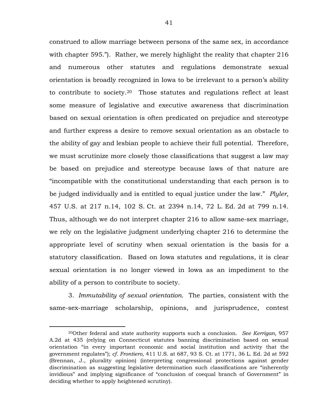construed to allow marriage between persons of the same sex, in accordance with chapter 595."). Rather, we merely highlight the reality that chapter 216 and numerous other statutes and regulations demonstrate sexual orientation is broadly recognized in Iowa to be irrelevant to a person's ability to contribute to society.20 Those statutes and regulations reflect at least some measure of legislative and executive awareness that discrimination based on sexual orientation is often predicated on prejudice and stereotype and further express a desire to remove sexual orientation as an obstacle to the ability of gay and lesbian people to achieve their full potential. Therefore, we must scrutinize more closely those classifications that suggest a law may be based on prejudice and stereotype because laws of that nature are "incompatible with the constitutional understanding that each person is to be judged individually and is entitled to equal justice under the law." *Plyler*, 457 U.S. at 217 n.14, 102 S. Ct. at 2394 n.14, 72 L. Ed. 2d at 799 n.14. Thus, although we do not interpret chapter 216 to allow same-sex marriage, we rely on the legislative judgment underlying chapter 216 to determine the appropriate level of scrutiny when sexual orientation is the basis for a statutory classification. Based on Iowa statutes and regulations, it is clear sexual orientation is no longer viewed in Iowa as an impediment to the ability of a person to contribute to society.

3. *Immutability of sexual orientation*. The parties, consistent with the same-sex-marriage scholarship, opinions, and jurisprudence, contest

 <sup>20</sup>Other federal and state authority supports such a conclusion. *See Kerrigan*, <sup>957</sup> A.2d at 435 (relying on Connecticut statutes banning discrimination based on sexual orientation "in every important economic and social institution and activity that the government regulates"); *cf. Frontiero,* 411 U.S. at 687, 93 S. Ct. at 1771, 36 L. Ed. 2d at 592 (Brennan, J., plurality opinion) (interpreting congressional protections against gender discrimination as suggesting legislative determination such classifications are "inherently invidious" and implying significance of "conclusion of coequal branch of Government" in deciding whether to apply heightened scrutiny).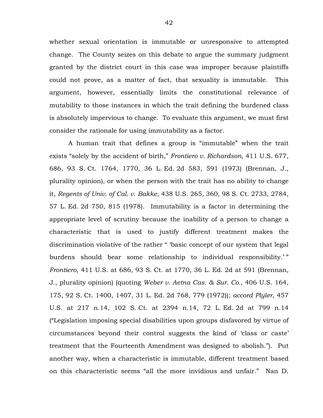whether sexual orientation is immutable or unresponsive to attempted change. The County seizes on this debate to argue the summary judgment granted by the district court in this case was improper because plaintiffs could not prove, as a matter of fact, that sexuality is immutable. This argument, however, essentially limits the constitutional relevance of mutability to those instances in which the trait defining the burdened class is absolutely impervious to change. To evaluate this argument, we must first consider the rationale for using immutability as a factor.

 A human trait that defines a group is "immutable" when the trait exists "solely by the accident of birth," *Frontiero v. Richardson*, 411 U.S. 677, 686, 93 S. Ct. 1764, 1770, 36 L. Ed. 2d 583, 591 (1973) (Brennan, J., plurality opinion), or when the person with the trait has no ability to change it, *Regents of Univ. of Cal. v. Bakke*, 438 U.S. 265, 360, 98 S. Ct. 2733, 2784, 57 L. Ed. 2d 750, 815 (1978). Immutability is a factor in determining the appropriate level of scrutiny because the inability of a person to change a characteristic that is used to justify different treatment makes the discrimination violative of the rather " 'basic concept of our system that legal burdens should bear some relationship to individual responsibility.'" *Frontiero*, 411 U.S. at 686, 93 S. Ct. at 1770, 36 L. Ed. 2d at 591 (Brennan, J., plurality opinion) (quoting *Weber v. Aetna Cas. & Sur. Co.*, 406 U.S. 164, 175, 92 S. Ct. 1400, 1407, 31 L. Ed. 2d 768, 779 (1972)); *accord Plyler*, 457 U.S. at 217 n.14, 102 S. Ct. at 2394 n.14, 72 L. Ed. 2d at 799 n.14 ("Legislation imposing special disabilities upon groups disfavored by virtue of circumstances beyond their control suggests the kind of 'class or caste' treatment that the Fourteenth Amendment was designed to abolish."). Put another way, when a characteristic is immutable, different treatment based on this characteristic seems "all the more invidious and unfair." Nan D.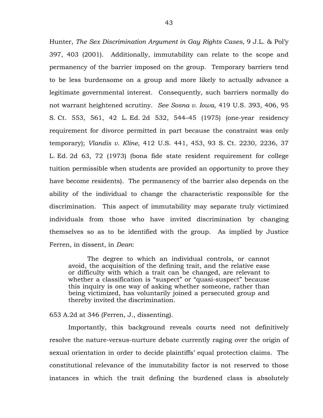Hunter, *The Sex Discrimination Argument in Gay Rights Cases*, 9 J.L. & Pol'y 397, 403 (2001). Additionally, immutability can relate to the scope and permanency of the barrier imposed on the group. Temporary barriers tend to be less burdensome on a group and more likely to actually advance a legitimate governmental interest. Consequently, such barriers normally do not warrant heightened scrutiny. *See Sosna v. Iowa*, 419 U.S. 393, 406, 95 S. Ct. 553, 561, 42 L. Ed. 2d 532, 544–45 (1975) (one-year residency requirement for divorce permitted in part because the constraint was only temporary); *Vlandis v. Kline*, 412 U.S. 441, 453, 93 S. Ct. 2230, 2236, 37 L. Ed. 2d 63, 72 (1973) (bona fide state resident requirement for college tuition permissible when students are provided an opportunity to prove they have become residents). The permanency of the barrier also depends on the ability of the individual to change the characteristic responsible for the discrimination. This aspect of immutability may separate truly victimized individuals from those who have invited discrimination by changing themselves so as to be identified with the group. As implied by Justice Ferren, in dissent, in *Dean*:

The degree to which an individual controls, or cannot avoid, the acquisition of the defining trait, and the relative ease or difficulty with which a trait can be changed, are relevant to whether a classification is "suspect" or "quasi-suspect" because this inquiry is one way of asking whether someone, rather than being victimized, has voluntarily joined a persecuted group and thereby invited the discrimination.

653 A.2d at 346 (Ferren, J., dissenting).

Importantly, this background reveals courts need not definitively resolve the nature-versus-nurture debate currently raging over the origin of sexual orientation in order to decide plaintiffs' equal protection claims. The constitutional relevance of the immutability factor is not reserved to those instances in which the trait defining the burdened class is absolutely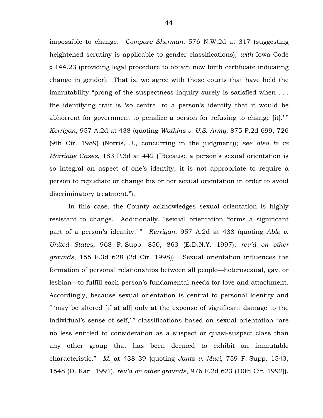impossible to change. *Compare Sherman*, 576 N.W.2d at 317 (suggesting heightened scrutiny is applicable to gender classifications), *with* Iowa Code § 144.23 (providing legal procedure to obtain new birth certificate indicating change in gender). That is, we agree with those courts that have held the immutability "prong of the suspectness inquiry surely is satisfied when . . . the identifying trait is 'so central to a person's identity that it would be abhorrent for government to penalize a person for refusing to change [it].'" *Kerrigan*, 957 A.2d at 438 (quoting *Watkins v. U.S. Army*, 875 F.2d 699, 726 (9th Cir. 1989) (Norris, J., concurring in the judgment)); *see also In re Marriage Cases*, 183 P.3d at 442 ("Because a person's sexual orientation is so integral an aspect of one's identity, it is not appropriate to require a person to repudiate or change his or her sexual orientation in order to avoid discriminatory treatment.").

In this case, the County acknowledges sexual orientation is highly resistant to change. Additionally, "sexual orientation 'forms a significant part of a person's identity.'" *Kerrigan*, 957 A.2d at 438 (quoting *Able v. United States*, 968 F. Supp. 850, 863 (E.D.N.Y. 1997), *rev'd on other grounds*, 155 F.3d 628 (2d Cir. 1998)). Sexual orientation influences the formation of personal relationships between all people—heterosexual, gay, or lesbian—to fulfill each person's fundamental needs for love and attachment. Accordingly, because sexual orientation is central to personal identity and " 'may be altered [if at all] only at the expense of significant damage to the individual's sense of self,'" classifications based on sexual orientation "are no less entitled to consideration as a suspect or quasi-suspect class than any other group that has been deemed to exhibit an immutable characteristic." *Id.* at 438–39 (quoting *Jantz v. Muci*, 759 F. Supp. 1543, 1548 (D. Kan. 1991), *rev'd on other grounds*, 976 F.2d 623 (10th Cir. 1992)).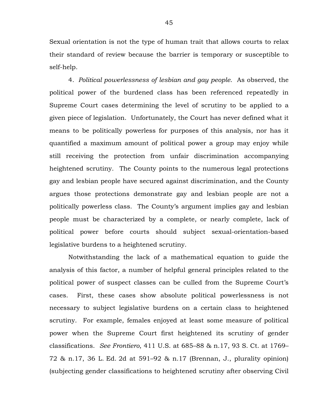Sexual orientation is not the type of human trait that allows courts to relax their standard of review because the barrier is temporary or susceptible to self-help.

4. *Political powerlessness of lesbian and gay people*. As observed, the political power of the burdened class has been referenced repeatedly in Supreme Court cases determining the level of scrutiny to be applied to a given piece of legislation. Unfortunately, the Court has never defined what it means to be politically powerless for purposes of this analysis, nor has it quantified a maximum amount of political power a group may enjoy while still receiving the protection from unfair discrimination accompanying heightened scrutiny. The County points to the numerous legal protections gay and lesbian people have secured against discrimination, and the County argues those protections demonstrate gay and lesbian people are not a politically powerless class. The County's argument implies gay and lesbian people must be characterized by a complete, or nearly complete, lack of political power before courts should subject sexual-orientation-based legislative burdens to a heightened scrutiny.

Notwithstanding the lack of a mathematical equation to guide the analysis of this factor, a number of helpful general principles related to the political power of suspect classes can be culled from the Supreme Court's cases. First, these cases show absolute political powerlessness is not necessary to subject legislative burdens on a certain class to heightened scrutiny. For example, females enjoyed at least some measure of political power when the Supreme Court first heightened its scrutiny of gender classifications. *See Frontiero*, 411 U.S. at 685–88 & n.17, 93 S. Ct. at 1769– 72 & n.17, 36 L. Ed. 2d at 591–92 & n.17 (Brennan, J., plurality opinion) (subjecting gender classifications to heightened scrutiny after observing Civil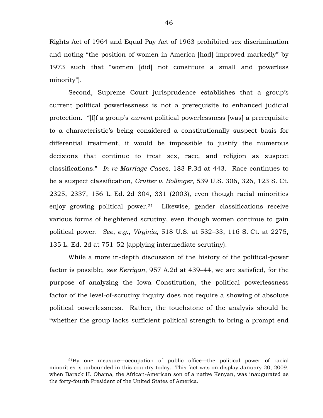Rights Act of 1964 and Equal Pay Act of 1963 prohibited sex discrimination and noting "the position of women in America [had] improved markedly" by 1973 such that "women [did] not constitute a small and powerless minority").

Second, Supreme Court jurisprudence establishes that a group's current political powerlessness is not a prerequisite to enhanced judicial protection. "[I]f a group's *current* political powerlessness [was] a prerequisite to a characteristic's being considered a constitutionally suspect basis for differential treatment, it would be impossible to justify the numerous decisions that continue to treat sex, race, and religion as suspect classifications." *In re Marriage Cases*, 183 P.3d at 443. Race continues to be a suspect classification, *Grutter v. Bollinger*, 539 U.S. 306, 326, 123 S. Ct. 2325, 2337, 156 L. Ed. 2d 304, 331 (2003), even though racial minorities enjoy growing political power.<sup>21</sup> Likewise, gender classifications receive various forms of heightened scrutiny, even though women continue to gain political power. *See*, *e.g.*, *Virginia*, 518 U.S. at 532–33, 116 S. Ct. at 2275, 135 L. Ed. 2d at 751–52 (applying intermediate scrutiny).

While a more in-depth discussion of the history of the political-power factor is possible, *see Kerrigan*, 957 A.2d at 439–44, we are satisfied, for the purpose of analyzing the Iowa Constitution, the political powerlessness factor of the level-of-scrutiny inquiry does not require a showing of absolute political powerlessness. Rather, the touchstone of the analysis should be "whether the group lacks sufficient political strength to bring a prompt end

 <sup>21</sup>By one measure—occupation of public office—the political power of racial minorities is unbounded in this country today. This fact was on display January 20, 2009, when Barack H. Obama, the African-American son of a native Kenyan, was inaugurated as the forty-fourth President of the United States of America.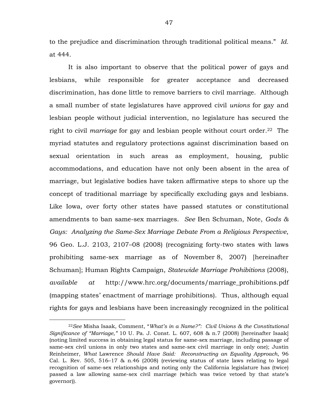to the prejudice and discrimination through traditional political means." *Id.* at 444.

It is also important to observe that the political power of gays and lesbians, while responsible for greater acceptance and decreased discrimination, has done little to remove barriers to civil marriage. Although a small number of state legislatures have approved civil *unions* for gay and lesbian people without judicial intervention, no legislature has secured the right to civil *marriage* for gay and lesbian people without court order.22 The myriad statutes and regulatory protections against discrimination based on sexual orientation in such areas as employment, housing, public accommodations, and education have not only been absent in the area of marriage, but legislative bodies have taken affirmative steps to shore up the concept of traditional marriage by specifically excluding gays and lesbians. Like Iowa, over forty other states have passed statutes or constitutional amendments to ban same-sex marriages. *See* Ben Schuman, Note, *Gods & Gays: Analyzing the Same-Sex Marriage Debate From a Religious Perspective*, 96 Geo. L.J. 2103, 2107–08 (2008) (recognizing forty-two states with laws prohibiting same-sex marriage as of November 8, 2007) [hereinafter Schuman]; Human Rights Campaign, *Statewide Marriage Prohibitions* (2008), *available at* http://www.hrc.org/documents/marriage\_prohibitions.pdf (mapping states' enactment of marriage prohibitions). Thus, although equal rights for gays and lesbians have been increasingly recognized in the political

 <sup>22</sup>*See* Misha Isaak, Comment, "*What's in a Name?": Civil Unions & the Constitutional Significance of "Marriage,"* 10 U. Pa. J. Const. L. 607, 608 & n.7 (2008) [hereinafter Isaak] (noting limited success in obtaining legal status for same-sex marriage, including passage of same-sex civil unions in only two states and same-sex civil marriage in only one); Justin Reinheimer, *What* Lawrence *Should Have Said: Reconstructing an Equality Approach*, 96 Cal. L. Rev. 505, 516–17 & n.46 (2008) (reviewing status of state laws relating to legal recognition of same-sex relationships and noting only the California legislature has (twice) passed a law allowing same-sex civil marriage (which was twice vetoed by that state's governor)).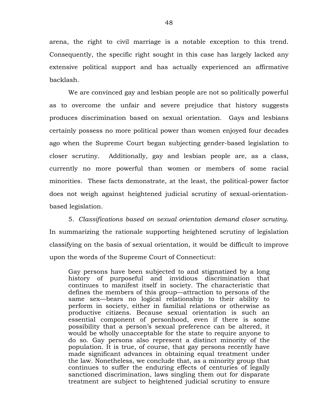arena, the right to civil marriage is a notable exception to this trend. Consequently, the specific right sought in this case has largely lacked any extensive political support and has actually experienced an affirmative backlash.

We are convinced gay and lesbian people are not so politically powerful as to overcome the unfair and severe prejudice that history suggests produces discrimination based on sexual orientation. Gays and lesbians certainly possess no more political power than women enjoyed four decades ago when the Supreme Court began subjecting gender-based legislation to closer scrutiny. Additionally, gay and lesbian people are, as a class, currently no more powerful than women or members of some racial minorities. These facts demonstrate, at the least, the political-power factor does not weigh against heightened judicial scrutiny of sexual-orientationbased legislation.

 5. *Classifications based on sexual orientation demand closer scrutiny*. In summarizing the rationale supporting heightened scrutiny of legislation classifying on the basis of sexual orientation, it would be difficult to improve upon the words of the Supreme Court of Connecticut:

Gay persons have been subjected to and stigmatized by a long history of purposeful and invidious discrimination that continues to manifest itself in society. The characteristic that defines the members of this group—attraction to persons of the same sex—bears no logical relationship to their ability to perform in society, either in familial relations or otherwise as productive citizens. Because sexual orientation is such an essential component of personhood, even if there is some possibility that a person's sexual preference can be altered, it would be wholly unacceptable for the state to require anyone to do so. Gay persons also represent a distinct minority of the population. It is true, of course, that gay persons recently have made significant advances in obtaining equal treatment under the law. Nonetheless, we conclude that, as a minority group that continues to suffer the enduring effects of centuries of legally sanctioned discrimination, laws singling them out for disparate treatment are subject to heightened judicial scrutiny to ensure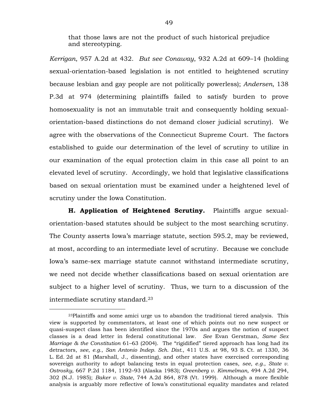that those laws are not the product of such historical prejudice and stereotyping.

*Kerrigan*, 957 A.2d at 432. *But see Conaway*, 932 A.2d at 609–14 (holding sexual-orientation-based legislation is not entitled to heightened scrutiny because lesbian and gay people are not politically powerless); *Andersen*, 138 P.3d at 974 (determining plaintiffs failed to satisfy burden to prove homosexuality is not an immutable trait and consequently holding sexualorientation-based distinctions do not demand closer judicial scrutiny). We agree with the observations of the Connecticut Supreme Court. The factors established to guide our determination of the level of scrutiny to utilize in our examination of the equal protection claim in this case all point to an elevated level of scrutiny. Accordingly, we hold that legislative classifications based on sexual orientation must be examined under a heightened level of scrutiny under the Iowa Constitution.

**H. Application of Heightened Scrutiny.** Plaintiffs argue sexualorientation-based statutes should be subject to the most searching scrutiny. The County asserts Iowa's marriage statute, section 595.2, may be reviewed, at most, according to an intermediate level of scrutiny. Because we conclude Iowa's same-sex marriage statute cannot withstand intermediate scrutiny, we need not decide whether classifications based on sexual orientation are subject to a higher level of scrutiny. Thus, we turn to a discussion of the intermediate scrutiny standard.23

 <sup>23</sup>Plaintiffs and some amici urge us to abandon the traditional tiered analysis. This view is supported by commentators, at least one of which points out no new suspect or quasi-suspect class has been identified since the 1970s and argues the notion of suspect classes is a dead letter in federal constitutional law. *See* Evan Gerstman, *Same Sex Marriage & the Constitution* 61–63 (2004). The "rigidified" tiered approach has long had its detractors, *see*, *e.g.*, *San Antonio Indep. Sch. Dist.*, 411 U.S. at 98, 93 S. Ct. at 1330, 36 L. Ed. 2d at 81 (Marshall, J., dissenting), and other states have exercised corresponding sovereign authority to adopt balancing tests in equal protection cases, *see*, *e.g.*, *State v. Ostrosky,* 667 P.2d 1184, 1192–93 (Alaska 1983); *Greenberg v. Kimmelman,* 494 A.2d 294, 302 (N.J. 1985); *Baker v. State*, 744 A.2d 864, 878 (Vt. 1999). Although a more flexible analysis is arguably more reflective of Iowa's constitutional equality mandates and related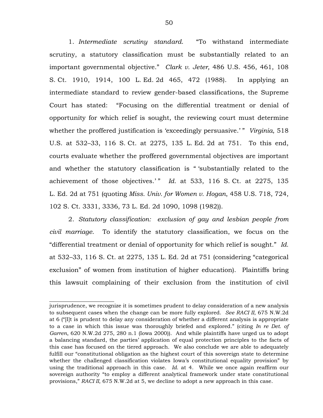1. *Intermediate scrutiny standard*. "To withstand intermediate scrutiny, a statutory classification must be substantially related to an important governmental objective." *Clark v. Jeter,* 486 U.S. 456, 461, 108 S. Ct. 1910, 1914, 100 L. Ed. 2d 465, 472 (1988). In applying an intermediate standard to review gender-based classifications, the Supreme Court has stated: "Focusing on the differential treatment or denial of opportunity for which relief is sought, the reviewing court must determine whether the proffered justification is 'exceedingly persuasive.' " *Virginia*, 518 U.S. at 532–33, 116 S. Ct. at 2275, 135 L. Ed. 2d at 751. To this end, courts evaluate whether the proffered governmental objectives are important and whether the statutory classification is " 'substantially related to the achievement of those objectives.'" *Id.* at 533, 116 S. Ct. at 2275, 135 L. Ed. 2d at 751 (quoting *Miss. Univ. for Women v. Hogan*, 458 U.S. 718, 724, 102 S. Ct. 3331, 3336, 73 L. Ed. 2d 1090, 1098 (1982)).

2. *Statutory classification: exclusion of gay and lesbian people from civil marriage*. To identify the statutory classification, we focus on the "differential treatment or denial of opportunity for which relief is sought." *Id.* at 532–33, 116 S. Ct. at 2275, 135 L. Ed. 2d at 751 (considering "categorical exclusion" of women from institution of higher education). Plaintiffs bring this lawsuit complaining of their exclusion from the institution of civil

l

jurisprudence, we recognize it is sometimes prudent to delay consideration of a new analysis to subsequent cases when the change can be more fully explored. *See RACI II*, 675 N.W.2d at 6 ("[I]t is prudent to delay any consideration of whether a different analysis is appropriate to a case in which this issue was thoroughly briefed and explored." (citing *In re Det. of Garren*, 620 N.W.2d 275, 280 n.1 (Iowa 2000)). And while plaintiffs have urged us to adopt a balancing standard, the parties' application of equal protection principles to the facts of this case has focused on the tiered approach. We also conclude we are able to adequately fulfill our "constitutional obligation as the highest court of this sovereign state to determine whether the challenged classification violates Iowa's constitutional equality provision" by using the traditional approach in this case. *Id.* at 4. While we once again reaffirm our sovereign authority "to employ a different analytical framework under state constitutional provisions," *RACI II*, 675 N.W.2d at 5, we decline to adopt a new approach in this case.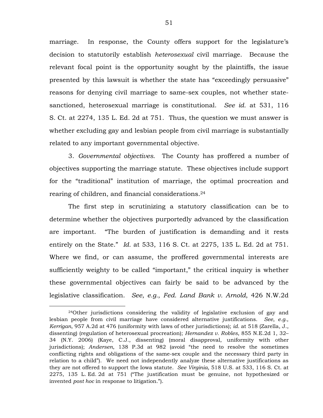marriage. In response, the County offers support for the legislature's decision to statutorily establish *heterosexual* civil marriage. Because the relevant focal point is the opportunity sought by the plaintiffs, the issue presented by this lawsuit is whether the state has "exceedingly persuasive" reasons for denying civil marriage to same-sex couples, not whether statesanctioned, heterosexual marriage is constitutional. *See id.* at 531, 116 S. Ct. at 2274, 135 L. Ed. 2d at 751. Thus, the question we must answer is whether excluding gay and lesbian people from civil marriage is substantially related to any important governmental objective.

 3. *Governmental objectives*. The County has proffered a number of objectives supporting the marriage statute. These objectives include support for the "traditional" institution of marriage, the optimal procreation and rearing of children, and financial considerations.24

The first step in scrutinizing a statutory classification can be to determine whether the objectives purportedly advanced by the classification are important. "The burden of justification is demanding and it rests entirely on the State." *Id.* at 533, 116 S. Ct. at 2275, 135 L. Ed. 2d at 751. Where we find, or can assume, the proffered governmental interests are sufficiently weighty to be called "important," the critical inquiry is whether these governmental objectives can fairly be said to be advanced by the legislative classification. *See*, *e.g.*, *Fed. Land Bank v. Arnold*, 426 N.W.2d

 <sup>24</sup>Other jurisdictions considering the validity of legislative exclusion of gay and lesbian people from civil marriage have considered alternative justifications. *See*, *e.g.*, *Kerrigan*, 957 A.2d at 476 (uniformity with laws of other jurisdictions); *id.* at 518 (Zarella, J., dissenting) (regulation of heterosexual procreation); *Hernandez v. Robles*, 855 N.E.2d 1, 32– 34 (N.Y. 2006) (Kaye, C.J., dissenting) (moral disapproval, uniformity with other jurisdictions); *Andersen*, 138 P.3d at 982 (avoid "the need to resolve the sometimes conflicting rights and obligations of the same-sex couple and the necessary third party in relation to a child"). We need not independently analyze these alternative justifications as they are not offered to support the Iowa statute. *See Virginia*, 518 U.S. at 533, 116 S. Ct. at 2275, 135 L. Ed. 2d at 751 ("The justification must be genuine, not hypothesized or invented *post hoc* in response to litigation.").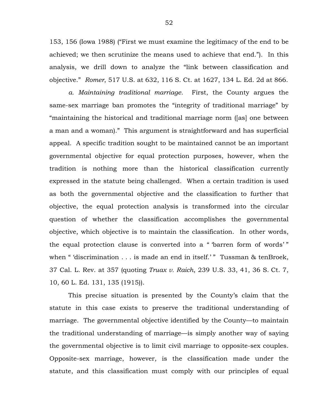153, 156 (Iowa 1988) ("First we must examine the legitimacy of the end to be achieved; we then scrutinize the means used to achieve that end."). In this analysis, we drill down to analyze the "link between classification and objective." *Romer*, 517 U.S. at 632, 116 S. Ct. at 1627, 134 L. Ed. 2d at 866.

*a. Maintaining traditional marriage.* First, the County argues the same-sex marriage ban promotes the "integrity of traditional marriage" by "maintaining the historical and traditional marriage norm ([as] one between a man and a woman)." This argument is straightforward and has superficial appeal. A specific tradition sought to be maintained cannot be an important governmental objective for equal protection purposes, however, when the tradition is nothing more than the historical classification currently expressed in the statute being challenged. When a certain tradition is used as both the governmental objective and the classification to further that objective, the equal protection analysis is transformed into the circular question of whether the classification accomplishes the governmental objective, which objective is to maintain the classification. In other words, the equal protection clause is converted into a " 'barren form of words' " when " 'discrimination . . . is made an end in itself.' " Tussman & tenBroek, 37 Cal. L. Rev. at 357 (quoting *Truax v. Raich*, 239 U.S. 33, 41, 36 S. Ct. 7, 10, 60 L. Ed. 131, 135 (1915)).

This precise situation is presented by the County's claim that the statute in this case exists to preserve the traditional understanding of marriage. The governmental objective identified by the County—to maintain the traditional understanding of marriage—is simply another way of saying the governmental objective is to limit civil marriage to opposite-sex couples. Opposite-sex marriage, however, is the classification made under the statute, and this classification must comply with our principles of equal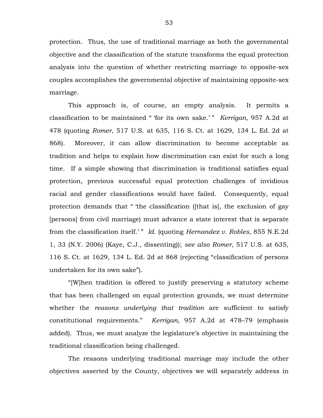protection. Thus, the use of traditional marriage as both the governmental objective and the classification of the statute transforms the equal protection analysis into the question of whether restricting marriage to opposite-sex couples accomplishes the governmental objective of maintaining opposite-sex marriage.

This approach is, of course, an empty analysis. It permits a classification to be maintained " 'for its own sake.' " *Kerrigan*, 957 A.2d at 478 (quoting *Romer*, 517 U.S. at 635, 116 S. Ct. at 1629, 134 L. Ed. 2d at 868). Moreover, it can allow discrimination to become acceptable as tradition and helps to explain how discrimination can exist for such a long time. If a simple showing that discrimination is traditional satisfies equal protection, previous successful equal protection challenges of invidious racial and gender classifications would have failed. Consequently, equal protection demands that " 'the classification ([that is], the exclusion of gay [persons] from civil marriage) must advance a state interest that is separate from the classification itself.' " *Id.* (quoting *Hernandez v. Robles*, 855 N.E.2d 1, 33 (N.Y. 2006) (Kaye, C.J., dissenting)); *see also Romer*, 517 U.S. at 635, 116 S. Ct. at 1629, 134 L. Ed. 2d at 868 (rejecting "classification of persons undertaken for its own sake").

 "[W]hen tradition is offered to justify preserving a statutory scheme that has been challenged on equal protection grounds, we must determine whether the *reasons underlying that tradition* are sufficient to satisfy constitutional requirements." *Kerrigan*, 957 A.2d at 478–79 (emphasis added). Thus, we must analyze the legislature's objective in maintaining the traditional classification being challenged.

 The reasons underlying traditional marriage may include the other objectives asserted by the County, objectives we will separately address in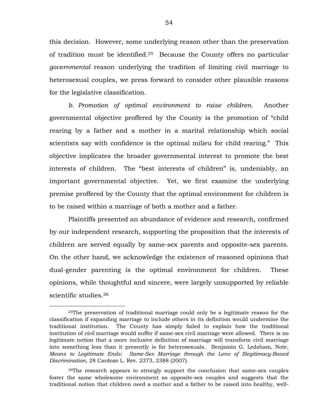this decision. However, some underlying reason other than the preservation of tradition must be identified.25 Because the County offers no particular *governmental* reason underlying the tradition of limiting civil marriage to heterosexual couples, we press forward to consider other plausible reasons for the legislative classification.

*b. Promotion of optimal environment to raise children.* Another governmental objective proffered by the County is the promotion of "child rearing by a father and a mother in a marital relationship which social scientists say with confidence is the optimal milieu for child rearing." This objective implicates the broader governmental interest to promote the best interests of children. The "best interests of children" is, undeniably, an important governmental objective. Yet, we first examine the underlying premise proffered by the County that the optimal environment for children is to be raised within a marriage of both a mother and a father.

 Plaintiffs presented an abundance of evidence and research, confirmed by our independent research, supporting the proposition that the interests of children are served equally by same-sex parents and opposite-sex parents. On the other hand, we acknowledge the existence of reasoned opinions that dual-gender parenting is the optimal environment for children. These opinions, while thoughtful and sincere, were largely unsupported by reliable scientific studies.26

 <sup>25</sup>The preservation of traditional marriage could only be a legitimate reason for the classification if expanding marriage to include others in its definition would undermine the traditional institution. The County has simply failed to explain how the traditional institution of *civil* marriage would suffer if same-sex civil marriage were allowed. There is no legitimate notion that a more inclusive definition of marriage will transform civil marriage into something less than it presently is for heterosexuals. Benjamin G. Ledsham, Note, *Means to Legitimate Ends: Same-Sex Marriage through the Lens of Illegitimacy-Based Discrimination*, 28 Cardozo L. Rev. 2373, 2388 (2007).

<sup>&</sup>lt;sup>26</sup>The research appears to strongly support the conclusion that same-sex couples foster the same wholesome environment as opposite-sex couples and suggests that the traditional notion that children need a mother and a father to be raised into healthy, well-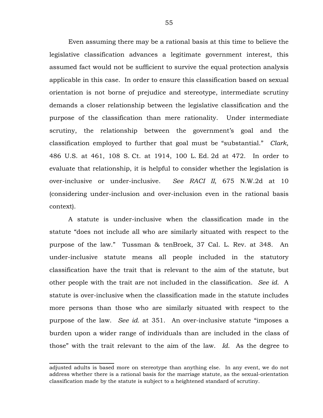Even assuming there may be a rational basis at this time to believe the legislative classification advances a legitimate government interest, this assumed fact would not be sufficient to survive the equal protection analysis applicable in this case. In order to ensure this classification based on sexual orientation is not borne of prejudice and stereotype, intermediate scrutiny demands a closer relationship between the legislative classification and the purpose of the classification than mere rationality. Under intermediate scrutiny, the relationship between the government's goal and the classification employed to further that goal must be "substantial." *Clark*, 486 U.S. at 461, 108 S. Ct. at 1914, 100 L. Ed. 2d at 472. In order to evaluate that relationship, it is helpful to consider whether the legislation is over-inclusive or under-inclusive. *See RACI II*, 675 N.W.2d at 10 (considering under-inclusion and over-inclusion even in the rational basis context).

A statute is under-inclusive when the classification made in the statute "does not include all who are similarly situated with respect to the purpose of the law." Tussman & tenBroek, 37 Cal. L. Rev. at 348. An under-inclusive statute means all people included in the statutory classification have the trait that is relevant to the aim of the statute, but other people with the trait are not included in the classification. *See id.* A statute is over-inclusive when the classification made in the statute includes more persons than those who are similarly situated with respect to the purpose of the law. *See id.* at 351. An over-inclusive statute "imposes a burden upon a wider range of individuals than are included in the class of those" with the trait relevant to the aim of the law. *Id.* As the degree to

l

adjusted adults is based more on stereotype than anything else. In any event, we do not address whether there is a rational basis for the marriage statute, as the sexual-orientation classification made by the statute is subject to a heightened standard of scrutiny.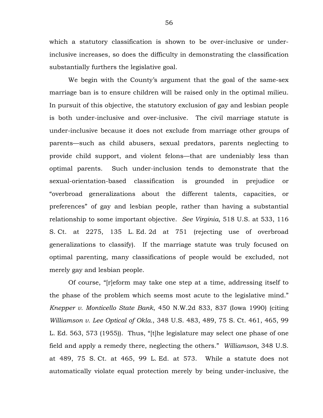which a statutory classification is shown to be over-inclusive or underinclusive increases, so does the difficulty in demonstrating the classification substantially furthers the legislative goal.

We begin with the County's argument that the goal of the same-sex marriage ban is to ensure children will be raised only in the optimal milieu. In pursuit of this objective, the statutory exclusion of gay and lesbian people is both under-inclusive and over-inclusive. The civil marriage statute is under-inclusive because it does not exclude from marriage other groups of parents—such as child abusers, sexual predators, parents neglecting to provide child support, and violent felons—that are undeniably less than optimal parents. Such under-inclusion tends to demonstrate that the sexual-orientation-based classification is grounded in prejudice or "overbroad generalizations about the different talents, capacities, or preferences" of gay and lesbian people, rather than having a substantial relationship to some important objective. *See Virginia*, 518 U.S. at 533, 116 S. Ct. at 2275, 135 L. Ed. 2d at 751 (rejecting use of overbroad generalizations to classify). If the marriage statute was truly focused on optimal parenting, many classifications of people would be excluded, not merely gay and lesbian people.

Of course, "[r]eform may take one step at a time, addressing itself to the phase of the problem which seems most acute to the legislative mind." *Knepper v. Monticello State Bank*, 450 N.W.2d 833, 837 (Iowa 1990) (citing *Williamson v. Lee Optical of Okla.*, 348 U.S. 483, 489, 75 S. Ct. 461, 465, 99 L. Ed. 563, 573 (1955)). Thus, "[t]he legislature may select one phase of one field and apply a remedy there, neglecting the others." *Williamson*, 348 U.S. at 489, 75 S. Ct. at 465, 99 L. Ed. at 573. While a statute does not automatically violate equal protection merely by being under-inclusive, the

56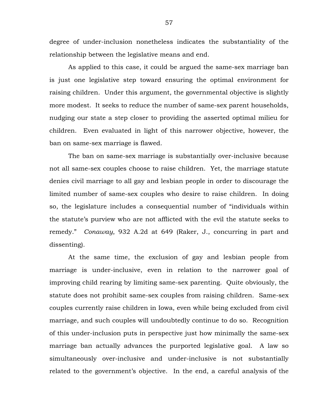degree of under-inclusion nonetheless indicates the substantiality of the relationship between the legislative means and end.

As applied to this case, it could be argued the same-sex marriage ban is just one legislative step toward ensuring the optimal environment for raising children. Under this argument, the governmental objective is slightly more modest. It seeks to reduce the number of same-sex parent households, nudging our state a step closer to providing the asserted optimal milieu for children. Even evaluated in light of this narrower objective, however, the ban on same-sex marriage is flawed.

The ban on same-sex marriage is substantially over-inclusive because not all same-sex couples choose to raise children. Yet, the marriage statute denies civil marriage to all gay and lesbian people in order to discourage the limited number of same-sex couples who desire to raise children. In doing so, the legislature includes a consequential number of "individuals within the statute's purview who are not afflicted with the evil the statute seeks to remedy." *Conaway*, 932 A.2d at 649 (Raker, J., concurring in part and dissenting).

At the same time, the exclusion of gay and lesbian people from marriage is under-inclusive, even in relation to the narrower goal of improving child rearing by limiting same-sex parenting. Quite obviously, the statute does not prohibit same-sex couples from raising children. Same-sex couples currently raise children in Iowa, even while being excluded from civil marriage, and such couples will undoubtedly continue to do so. Recognition of this under-inclusion puts in perspective just how minimally the same-sex marriage ban actually advances the purported legislative goal. A law so simultaneously over-inclusive and under-inclusive is not substantially related to the government's objective. In the end, a careful analysis of the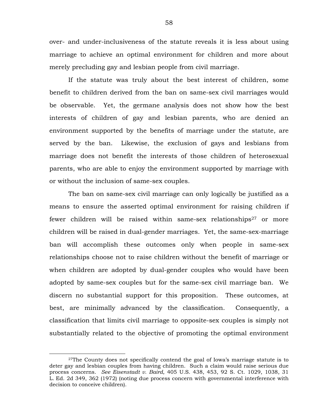over- and under-inclusiveness of the statute reveals it is less about using marriage to achieve an optimal environment for children and more about merely precluding gay and lesbian people from civil marriage.

If the statute was truly about the best interest of children, some benefit to children derived from the ban on same-sex civil marriages would be observable. Yet, the germane analysis does not show how the best interests of children of gay and lesbian parents, who are denied an environment supported by the benefits of marriage under the statute, are served by the ban. Likewise, the exclusion of gays and lesbians from marriage does not benefit the interests of those children of heterosexual parents, who are able to enjoy the environment supported by marriage with or without the inclusion of same-sex couples.

The ban on same-sex civil marriage can only logically be justified as a means to ensure the asserted optimal environment for raising children if fewer children will be raised within same-sex relationships<sup>27</sup> or more children will be raised in dual-gender marriages. Yet, the same-sex-marriage ban will accomplish these outcomes only when people in same-sex relationships choose not to raise children without the benefit of marriage or when children are adopted by dual-gender couples who would have been adopted by same-sex couples but for the same-sex civil marriage ban. We discern no substantial support for this proposition. These outcomes, at best, are minimally advanced by the classification. Consequently, a classification that limits civil marriage to opposite-sex couples is simply not substantially related to the objective of promoting the optimal environment

 $27$ The County does not specifically contend the goal of Iowa's marriage statute is to deter gay and lesbian couples from having children. Such a claim would raise serious due process concerns. *See Eisenstadt v. Baird*, 405 U.S. 438, 453, 92 S. Ct. 1029, 1038, 31 L. Ed. 2d 349, 362 (1972) (noting due process concern with governmental interference with decision to conceive children).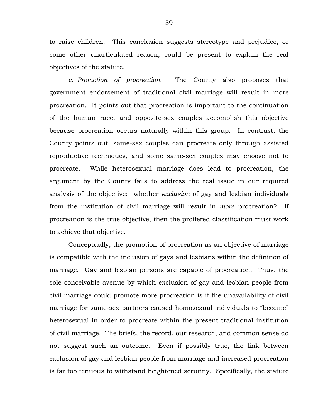to raise children. This conclusion suggests stereotype and prejudice, or some other unarticulated reason, could be present to explain the real objectives of the statute.

*c. Promotion of procreation.* The County also proposes that government endorsement of traditional civil marriage will result in more procreation. It points out that procreation is important to the continuation of the human race, and opposite-sex couples accomplish this objective because procreation occurs naturally within this group. In contrast, the County points out, same-sex couples can procreate only through assisted reproductive techniques, and some same-sex couples may choose not to procreate. While heterosexual marriage does lead to procreation, the argument by the County fails to address the real issue in our required analysis of the objective: whether *exclusion* of gay and lesbian individuals from the institution of civil marriage will result in *more* procreation? If procreation is the true objective, then the proffered classification must work to achieve that objective.

Conceptually, the promotion of procreation as an objective of marriage is compatible with the inclusion of gays and lesbians within the definition of marriage. Gay and lesbian persons are capable of procreation. Thus, the sole conceivable avenue by which exclusion of gay and lesbian people from civil marriage could promote more procreation is if the unavailability of civil marriage for same-sex partners caused homosexual individuals to "become" heterosexual in order to procreate within the present traditional institution of civil marriage. The briefs, the record, our research, and common sense do not suggest such an outcome. Even if possibly true, the link between exclusion of gay and lesbian people from marriage and increased procreation is far too tenuous to withstand heightened scrutiny. Specifically, the statute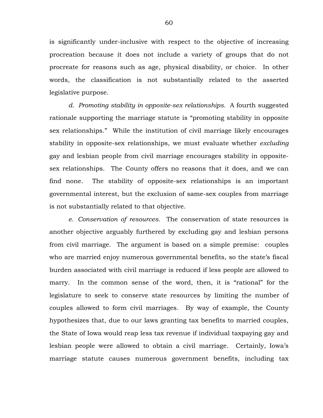is significantly under-inclusive with respect to the objective of increasing procreation because it does not include a variety of groups that do not procreate for reasons such as age, physical disability, or choice. In other words, the classification is not substantially related to the asserted legislative purpose.

*d. Promoting stability in opposite-sex relationships.* A fourth suggested rationale supporting the marriage statute is "promoting stability in opposite sex relationships." While the institution of civil marriage likely encourages stability in opposite-sex relationships, we must evaluate whether *excluding* gay and lesbian people from civil marriage encourages stability in oppositesex relationships. The County offers no reasons that it does, and we can find none. The stability of opposite-sex relationships is an important governmental interest, but the exclusion of same-sex couples from marriage is not substantially related to that objective.

*e. Conservation of resources.* The conservation of state resources is another objective arguably furthered by excluding gay and lesbian persons from civil marriage. The argument is based on a simple premise: couples who are married enjoy numerous governmental benefits, so the state's fiscal burden associated with civil marriage is reduced if less people are allowed to marry. In the common sense of the word, then, it is "rational" for the legislature to seek to conserve state resources by limiting the number of couples allowed to form civil marriages. By way of example, the County hypothesizes that, due to our laws granting tax benefits to married couples, the State of Iowa would reap less tax revenue if individual taxpaying gay and lesbian people were allowed to obtain a civil marriage. Certainly, Iowa's marriage statute causes numerous government benefits, including tax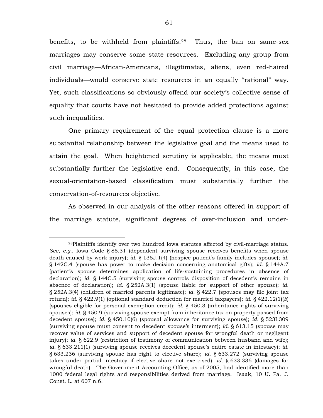benefits, to be withheld from plaintiffs.<sup>28</sup> Thus, the ban on same-sex marriages may conserve some state resources. Excluding any group from civil marriage—African-Americans, illegitimates, aliens, even red-haired individuals—would conserve state resources in an equally "rational" way. Yet, such classifications so obviously offend our society's collective sense of equality that courts have not hesitated to provide added protections against such inequalities.

One primary requirement of the equal protection clause is a more substantial relationship between the legislative goal and the means used to attain the goal. When heightened scrutiny is applicable, the means must substantially further the legislative end. Consequently, in this case, the sexual-orientation-based classification must substantially further the conservation-of-resources objective.

As observed in our analysis of the other reasons offered in support of the marriage statute, significant degrees of over-inclusion and under-

 $28$ Plaintiffs identify over two hundred Iowa statutes affected by civil-marriage status. *See*, *e.g.*, Iowa Code § 85.31 (dependent surviving spouse receives benefits when spouse death caused by work injury); *id.* § 135J.1(4) (hospice patient's family includes spouse); *id.*  § 142C.4 (spouse has power to make decision concerning anatomical gifts); *id.* § 144A.7 (patient's spouse determines application of life-sustaining procedures in absence of declaration); *id.* § 144C.5 (surviving spouse controls disposition of decedent's remains in absence of declaration); *id.* § 252A.3(1) (spouse liable for support of other spouse); *id.*  § 252A.3(4) (children of married parents legitimate); *id.* § 422.7 (spouses may file joint tax return); *id.* § 422.9(1) (optional standard deduction for married taxpayers); *id.* § 422.12(1)(*b*) (spouses eligible for personal exemption credit); *id.* § 450.3 (inheritance rights of surviving spouses); *id.* § 450.9 (surviving spouse exempt from inheritance tax on property passed from decedent spouse); *id.* § 450.10(6) (spousal allowance for surviving spouse); *id.* § 523I.309 (surviving spouse must consent to decedent spouse's interment); *id.* § 613.15 (spouse may recover value of services and support of decedent spouse for wrongful death or negligent injury); *id.* § 622.9 (restriction of testimony of communication between husband and wife); *id.* § 633.211(1) (surviving spouse receives decedent spouse's entire estate in intestacy); *id.* § 633.236 (surviving spouse has right to elective share); *id.* § 633.272 (surviving spouse takes under partial intestacy if elective share not exercised); *id.* § 633.336 (damages for wrongful death). The Government Accounting Office, as of 2005, had identified more than 1000 federal legal rights and responsibilities derived from marriage. Isaak, 10 U. Pa. J. Const. L. at 607 n.6.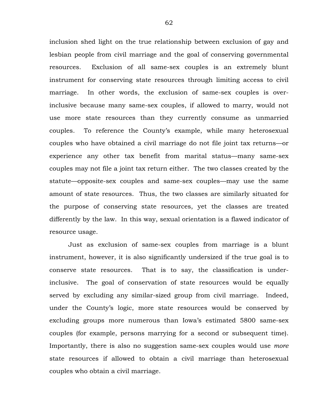inclusion shed light on the true relationship between exclusion of gay and lesbian people from civil marriage and the goal of conserving governmental resources. Exclusion of all same-sex couples is an extremely blunt instrument for conserving state resources through limiting access to civil marriage. In other words, the exclusion of same-sex couples is overinclusive because many same-sex couples, if allowed to marry, would not use more state resources than they currently consume as unmarried couples. To reference the County's example, while many heterosexual couples who have obtained a civil marriage do not file joint tax returns—or experience any other tax benefit from marital status—many same-sex couples may not file a joint tax return either. The two classes created by the statute—opposite-sex couples and same-sex couples—may use the same amount of state resources. Thus, the two classes are similarly situated for the purpose of conserving state resources, yet the classes are treated differently by the law. In this way, sexual orientation is a flawed indicator of resource usage.

Just as exclusion of same-sex couples from marriage is a blunt instrument, however, it is also significantly undersized if the true goal is to conserve state resources. That is to say, the classification is underinclusive. The goal of conservation of state resources would be equally served by excluding any similar-sized group from civil marriage. Indeed, under the County's logic, more state resources would be conserved by excluding groups more numerous than Iowa's estimated 5800 same-sex couples (for example, persons marrying for a second or subsequent time). Importantly, there is also no suggestion same-sex couples would use *more* state resources if allowed to obtain a civil marriage than heterosexual couples who obtain a civil marriage.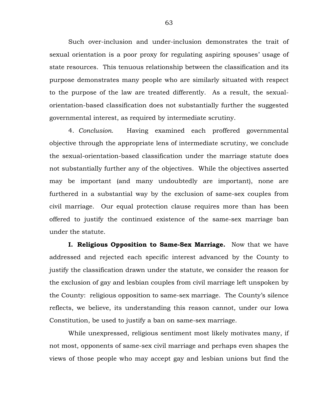Such over-inclusion and under-inclusion demonstrates the trait of sexual orientation is a poor proxy for regulating aspiring spouses' usage of state resources. This tenuous relationship between the classification and its purpose demonstrates many people who are similarly situated with respect to the purpose of the law are treated differently. As a result, the sexualorientation-based classification does not substantially further the suggested governmental interest, as required by intermediate scrutiny.

4. *Conclusion.* Having examined each proffered governmental objective through the appropriate lens of intermediate scrutiny, we conclude the sexual-orientation-based classification under the marriage statute does not substantially further any of the objectives. While the objectives asserted may be important (and many undoubtedly are important), none are furthered in a substantial way by the exclusion of same-sex couples from civil marriage. Our equal protection clause requires more than has been offered to justify the continued existence of the same-sex marriage ban under the statute.

**I. Religious Opposition to Same-Sex Marriage.** Now that we have addressed and rejected each specific interest advanced by the County to justify the classification drawn under the statute, we consider the reason for the exclusion of gay and lesbian couples from civil marriage left unspoken by the County: religious opposition to same-sex marriage. The County's silence reflects, we believe, its understanding this reason cannot, under our Iowa Constitution, be used to justify a ban on same-sex marriage.

 While unexpressed, religious sentiment most likely motivates many, if not most, opponents of same-sex civil marriage and perhaps even shapes the views of those people who may accept gay and lesbian unions but find the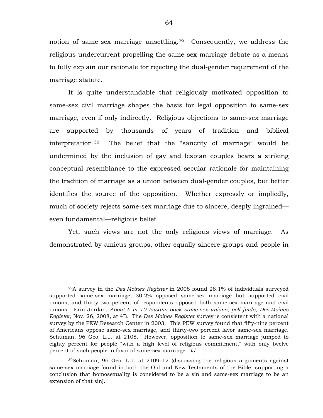notion of same-sex marriage unsettling.29 Consequently, we address the religious undercurrent propelling the same-sex marriage debate as a means to fully explain our rationale for rejecting the dual-gender requirement of the marriage statute.

 It is quite understandable that religiously motivated opposition to same-sex civil marriage shapes the basis for legal opposition to same-sex marriage, even if only indirectly. Religious objections to same-sex marriage are supported by thousands of years of tradition and biblical interpretation.30 The belief that the "sanctity of marriage" would be undermined by the inclusion of gay and lesbian couples bears a striking conceptual resemblance to the expressed secular rationale for maintaining the tradition of marriage as a union between dual-gender couples, but better identifies the source of the opposition. Whether expressly or impliedly, much of society rejects same-sex marriage due to sincere, deeply ingrained even fundamental—religious belief.

 Yet, such views are not the only religious views of marriage. As demonstrated by amicus groups, other equally sincere groups and people in

 <sup>29</sup>A survey in the *Des Moines Register* in 2008 found 28.1% of individuals surveyed supported same-sex marriage, 30.2% opposed same-sex marriage but supported civil unions, and thirty-two percent of respondents opposed both same-sex marriage and civil unions. Erin Jordan, *About 6 in 10 Iowans back same-sex unions, poll finds*, *Des Moines Register*, Nov. 26, 2008, at 4B. The *Des Moines Register* survey is consistent with a national survey by the PEW Research Center in 2003. This PEW survey found that fifty-nine percent of Americans oppose same-sex marriage, and thirty-two percent favor same-sex marriage. Schuman, 96 Geo. L.J. at 2108. However, opposition to same-sex marriage jumped to eighty percent for people "with a high level of religious commitment," with only twelve percent of such people in favor of same-sex marriage. *Id.*

<sup>30</sup>Schuman, 96 Geo. L.J. at 2109–12 (discussing the religious arguments against same-sex marriage found in both the Old and New Testaments of the Bible, supporting a conclusion that homosexuality is considered to be a sin and same-sex marriage to be an extension of that sin).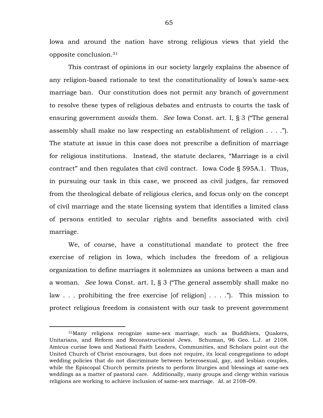Iowa and around the nation have strong religious views that yield the opposite conclusion.31

This contrast of opinions in our society largely explains the absence of any religion-based rationale to test the constitutionality of Iowa's same-sex marriage ban. Our constitution does not permit any branch of government to resolve these types of religious debates and entrusts to courts the task of ensuring government *avoids* them. *See* Iowa Const. art. I, § 3 ("The general assembly shall make no law respecting an establishment of religion . . . ."). The statute at issue in this case does not prescribe a definition of marriage for religious institutions. Instead, the statute declares, "Marriage is a civil contract" and then regulates that civil contract. Iowa Code § 595A.1. Thus, in pursuing our task in this case, we proceed as civil judges, far removed from the theological debate of religious clerics, and focus only on the concept of civil marriage and the state licensing system that identifies a limited class of persons entitled to secular rights and benefits associated with civil marriage.

 We, of course, have a constitutional mandate to protect the free exercise of religion in Iowa, which includes the freedom of a religious organization to define marriages it solemnizes as unions between a man and a woman. *See* Iowa Const. art. I, § 3 ("The general assembly shall make no law . . . prohibiting the free exercise [of religion] . . . ."). This mission to protect religious freedom is consistent with our task to prevent government

 <sup>31</sup>Many religions recognize same-sex marriage, such as Buddhists, Quakers, Unitarians, and Reform and Reconstructionist Jews. Schuman, 96 Geo. L.J. at 2108. Amicus curiae Iowa and National Faith Leaders, Communities, and Scholars point out the United Church of Christ encourages, but does not require, its local congregations to adopt wedding policies that do not discriminate between heterosexual, gay, and lesbian couples, while the Episcopal Church permits priests to perform liturgies and blessings at same-sex weddings as a matter of pastoral care. Additionally, many groups and clergy within various religions are working to achieve inclusion of same-sex marriage. *Id.* at 2108–09.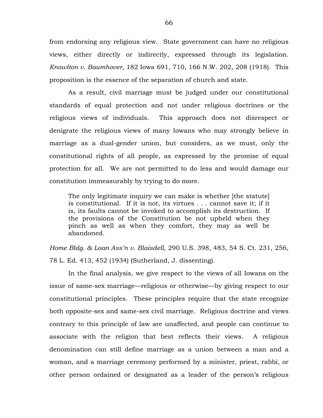from endorsing any religious view. State government can have no religious views, either directly or indirectly, expressed through its legislation. *Knowlton v. Baumhover*, 182 Iowa 691, 710, 166 N.W. 202, 208 (1918). This proposition is the essence of the separation of church and state.

 As a result, civil marriage must be judged under our constitutional standards of equal protection and not under religious doctrines or the religious views of individuals. This approach does not disrespect or denigrate the religious views of many Iowans who may strongly believe in marriage as a dual-gender union, but considers, as we must, only the constitutional rights of all people, as expressed by the promise of equal protection for all. We are not permitted to do less and would damage our constitution immeasurably by trying to do more.

The only legitimate inquiry we can make is whether [the statute] is constitutional. If it is not, its virtues . . . cannot save it; if it is, its faults cannot be invoked to accomplish its destruction. If the provisions of the Constitution be not upheld when they pinch as well as when they comfort, they may as well be abandoned.

*Home Bldg. & Loan Ass'n v. Blaisdell*, 290 U.S. 398, 483, 54 S. Ct. 231, 256, 78 L. Ed. 413, 452 (1934) (Sutherland, J. dissenting).

In the final analysis, we give respect to the views of all Iowans on the issue of same-sex marriage—religious or otherwise—by giving respect to our constitutional principles. These principles require that the state recognize both opposite-sex and same-sex civil marriage. Religious doctrine and views contrary to this principle of law are unaffected, and people can continue to associate with the religion that best reflects their views. A religious denomination can still define marriage as a union between a man and a woman, and a marriage ceremony performed by a minister, priest, rabbi, or other person ordained or designated as a leader of the person's religious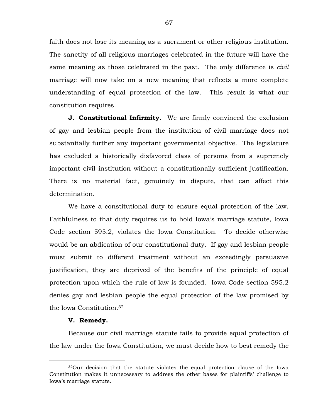faith does not lose its meaning as a sacrament or other religious institution. The sanctity of all religious marriages celebrated in the future will have the same meaning as those celebrated in the past. The only difference is *civil* marriage will now take on a new meaning that reflects a more complete understanding of equal protection of the law. This result is what our constitution requires.

**J. Constitutional Infirmity.** We are firmly convinced the exclusion of gay and lesbian people from the institution of civil marriage does not substantially further any important governmental objective. The legislature has excluded a historically disfavored class of persons from a supremely important civil institution without a constitutionally sufficient justification. There is no material fact, genuinely in dispute, that can affect this determination.

We have a constitutional duty to ensure equal protection of the law. Faithfulness to that duty requires us to hold Iowa's marriage statute, Iowa Code section 595.2, violates the Iowa Constitution. To decide otherwise would be an abdication of our constitutional duty. If gay and lesbian people must submit to different treatment without an exceedingly persuasive justification, they are deprived of the benefits of the principle of equal protection upon which the rule of law is founded. Iowa Code section 595.2 denies gay and lesbian people the equal protection of the law promised by the Iowa Constitution.32

### **V. Remedy.**

Because our civil marriage statute fails to provide equal protection of the law under the Iowa Constitution, we must decide how to best remedy the

 <sup>32</sup>Our decision that the statute violates the equal protection clause of the Iowa Constitution makes it unnecessary to address the other bases for plaintiffs' challenge to Iowa's marriage statute.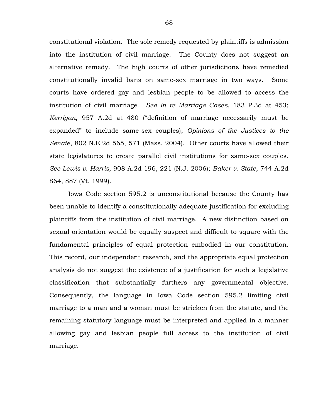constitutional violation. The sole remedy requested by plaintiffs is admission into the institution of civil marriage. The County does not suggest an alternative remedy. The high courts of other jurisdictions have remedied constitutionally invalid bans on same-sex marriage in two ways. Some courts have ordered gay and lesbian people to be allowed to access the institution of civil marriage. *See In re Marriage Cases*, 183 P.3d at 453; *Kerrigan*, 957 A.2d at 480 ("definition of marriage necessarily must be expanded" to include same-sex couples); *Opinions of the Justices to the Senate*, 802 N.E.2d 565, 571 (Mass. 2004). Other courts have allowed their state legislatures to create parallel civil institutions for same-sex couples. *See Lewis v. Harris*, 908 A.2d 196, 221 (N.J. 2006); *Baker v. State*, 744 A.2d 864, 887 (Vt. 1999).

 Iowa Code section 595.2 is unconstitutional because the County has been unable to identify a constitutionally adequate justification for excluding plaintiffs from the institution of civil marriage. A new distinction based on sexual orientation would be equally suspect and difficult to square with the fundamental principles of equal protection embodied in our constitution. This record, our independent research, and the appropriate equal protection analysis do not suggest the existence of a justification for such a legislative classification that substantially furthers any governmental objective. Consequently, the language in Iowa Code section 595.2 limiting civil marriage to a man and a woman must be stricken from the statute, and the remaining statutory language must be interpreted and applied in a manner allowing gay and lesbian people full access to the institution of civil marriage.